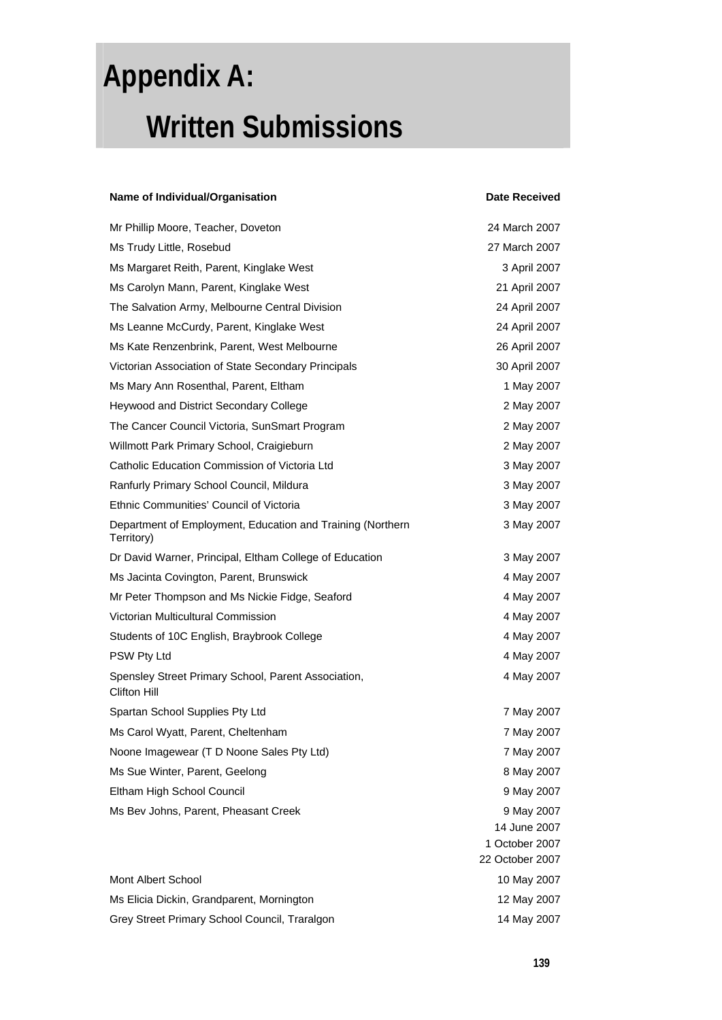# **Appendix A: Written Submissions**

#### **Name of Individual/Organisation in the Community Community Community Community Community Community Community Community Community Community Community Community Community Community Community Community Community Community Co** Mr Phillip Moore, Teacher, Doveton 24 March 2007 Ms Trudy Little, Rosebud 27 March 2007 Ms Margaret Reith, Parent, Kinglake West 3 April 2007 Ms Carolyn Mann, Parent, Kinglake West 21 April 2007 The Salvation Army, Melbourne Central Division 24 April 2007 Ms Leanne McCurdy, Parent, Kinglake West 24 April 2007 Ms Kate Renzenbrink, Parent, West Melbourne 26 April 2007 Victorian Association of State Secondary Principals 30 April 2007 Ms Mary Ann Rosenthal, Parent, Eltham 1 May 2007 Heywood and District Secondary College 2 May 2007 The Cancer Council Victoria, SunSmart Program 2 May 2007 Willmott Park Primary School, Craigieburn 2 May 2007 Catholic Education Commission of Victoria Ltd 3 May 2007 Ranfurly Primary School Council, Mildura 3 May 2007 Ethnic Communities' Council of Victoria 3 May 2007 Department of Employment, Education and Training (Northern Territory) 3 May 2007 Dr David Warner, Principal, Eltham College of Education 3 May 2007 Ms Jacinta Covington, Parent, Brunswick 4 May 2007 Mr Peter Thompson and Ms Nickie Fidge, Seaford **4 May 2007** 4 May 2007 Victorian Multicultural Commission 4 May 2007 Students of 10C English, Braybrook College 4 May 2007 PSW Pty Ltd 4 May 2007 Spensley Street Primary School, Parent Association, Clifton Hill 4 May 2007 Spartan School Supplies Pty Ltd 7 May 2007 Ms Carol Wyatt, Parent, Cheltenham 7 May 2007 Noone Imagewear (T D Noone Sales Pty Ltd) 7 May 2007 Ms Sue Winter, Parent, Geelong 8 May 2007 Eltham High School Council 9 May 2007 Ms Bev Johns, Parent, Pheasant Creek 9 May 2007 14 June 2007 1 October 2007 22 October 2007 Mont Albert School 2007 10 May 2007 Ms Elicia Dickin, Grandparent, Mornington 12 May 2007

Grey Street Primary School Council, Traralgon 14 May 2007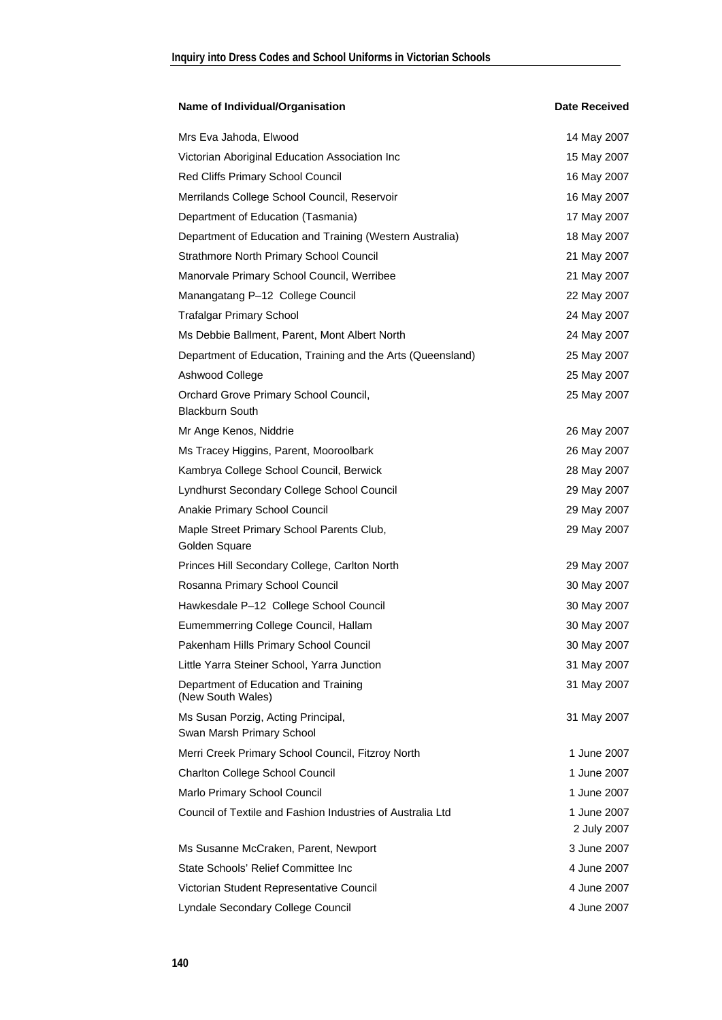| Name of Individual/Organisation                                 | <b>Date Received</b>       |
|-----------------------------------------------------------------|----------------------------|
| Mrs Eva Jahoda, Elwood                                          | 14 May 2007                |
| Victorian Aboriginal Education Association Inc                  | 15 May 2007                |
| Red Cliffs Primary School Council                               | 16 May 2007                |
| Merrilands College School Council, Reservoir                    | 16 May 2007                |
| Department of Education (Tasmania)                              | 17 May 2007                |
| Department of Education and Training (Western Australia)        | 18 May 2007                |
| <b>Strathmore North Primary School Council</b>                  | 21 May 2007                |
| Manorvale Primary School Council, Werribee                      | 21 May 2007                |
| Manangatang P-12 College Council                                | 22 May 2007                |
| <b>Trafalgar Primary School</b>                                 | 24 May 2007                |
| Ms Debbie Ballment, Parent, Mont Albert North                   | 24 May 2007                |
| Department of Education, Training and the Arts (Queensland)     | 25 May 2007                |
| Ashwood College                                                 | 25 May 2007                |
| Orchard Grove Primary School Council,<br><b>Blackburn South</b> | 25 May 2007                |
| Mr Ange Kenos, Niddrie                                          | 26 May 2007                |
| Ms Tracey Higgins, Parent, Mooroolbark                          | 26 May 2007                |
| Kambrya College School Council, Berwick                         | 28 May 2007                |
| Lyndhurst Secondary College School Council                      | 29 May 2007                |
| Anakie Primary School Council                                   | 29 May 2007                |
| Maple Street Primary School Parents Club,<br>Golden Square      | 29 May 2007                |
| Princes Hill Secondary College, Carlton North                   | 29 May 2007                |
| Rosanna Primary School Council                                  | 30 May 2007                |
| Hawkesdale P-12 College School Council                          | 30 May 2007                |
| Eumemmerring College Council, Hallam                            | 30 May 2007                |
| Pakenham Hills Primary School Council                           | 30 May 2007                |
| Little Yarra Steiner School, Yarra Junction                     | 31 May 2007                |
| Department of Education and Training<br>(New South Wales)       | 31 May 2007                |
| Ms Susan Porzig, Acting Principal,<br>Swan Marsh Primary School | 31 May 2007                |
| Merri Creek Primary School Council, Fitzroy North               | 1 June 2007                |
| <b>Charlton College School Council</b>                          | 1 June 2007                |
| Marlo Primary School Council                                    | 1 June 2007                |
| Council of Textile and Fashion Industries of Australia Ltd      | 1 June 2007<br>2 July 2007 |
| Ms Susanne McCraken, Parent, Newport                            | 3 June 2007                |
| State Schools' Relief Committee Inc                             | 4 June 2007                |
| Victorian Student Representative Council                        | 4 June 2007                |
| Lyndale Secondary College Council                               | 4 June 2007                |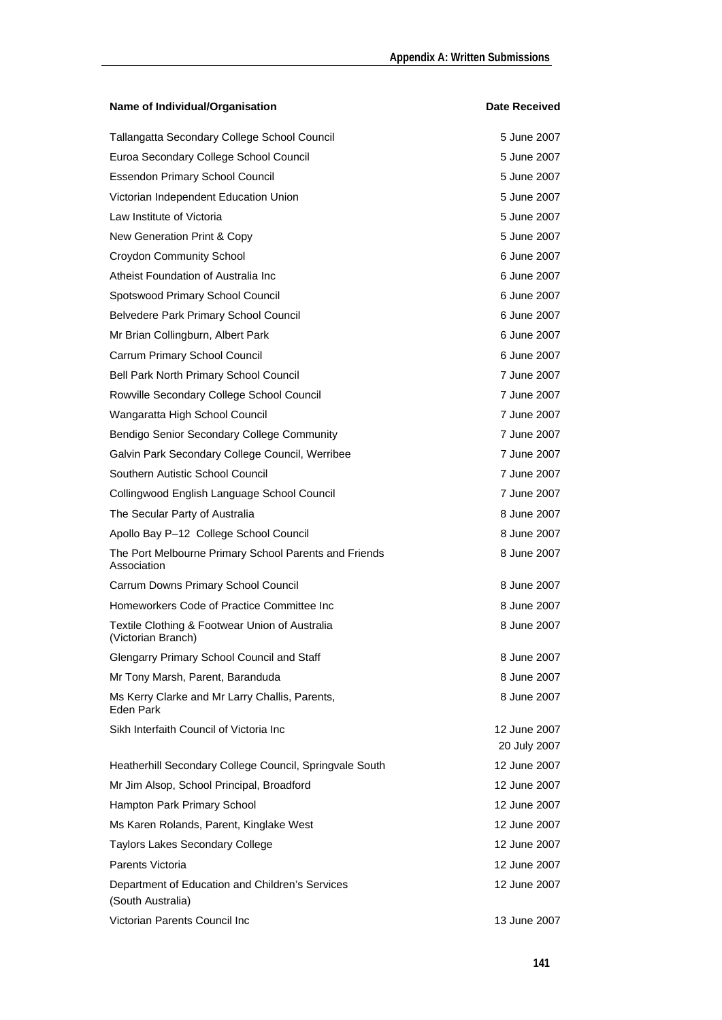| Name of Individual/Organisation                                      | <b>Date Received</b>         |
|----------------------------------------------------------------------|------------------------------|
| Tallangatta Secondary College School Council                         | 5 June 2007                  |
| Euroa Secondary College School Council                               | 5 June 2007                  |
| <b>Essendon Primary School Council</b>                               | 5 June 2007                  |
| Victorian Independent Education Union                                | 5 June 2007                  |
| Law Institute of Victoria                                            | 5 June 2007                  |
| New Generation Print & Copy                                          | 5 June 2007                  |
| <b>Croydon Community School</b>                                      | 6 June 2007                  |
| Atheist Foundation of Australia Inc                                  | 6 June 2007                  |
| Spotswood Primary School Council                                     | 6 June 2007                  |
| Belvedere Park Primary School Council                                | 6 June 2007                  |
| Mr Brian Collingburn, Albert Park                                    | 6 June 2007                  |
| Carrum Primary School Council                                        | 6 June 2007                  |
| Bell Park North Primary School Council                               | 7 June 2007                  |
| Rowville Secondary College School Council                            | 7 June 2007                  |
| Wangaratta High School Council                                       | 7 June 2007                  |
| Bendigo Senior Secondary College Community                           | 7 June 2007                  |
| Galvin Park Secondary College Council, Werribee                      | 7 June 2007                  |
| Southern Autistic School Council                                     | 7 June 2007                  |
| Collingwood English Language School Council                          | 7 June 2007                  |
| The Secular Party of Australia                                       | 8 June 2007                  |
| Apollo Bay P-12 College School Council                               | 8 June 2007                  |
| The Port Melbourne Primary School Parents and Friends<br>Association | 8 June 2007                  |
| Carrum Downs Primary School Council                                  | 8 June 2007                  |
| Homeworkers Code of Practice Committee Inc                           | 8 June 2007                  |
| Textile Clothing & Footwear Union of Australia<br>(Victorian Branch) | 8 June 2007                  |
| Glengarry Primary School Council and Staff                           | 8 June 2007                  |
| Mr Tony Marsh, Parent, Baranduda                                     | 8 June 2007                  |
| Ms Kerry Clarke and Mr Larry Challis, Parents,<br>Eden Park          | 8 June 2007                  |
| Sikh Interfaith Council of Victoria Inc                              | 12 June 2007<br>20 July 2007 |
| Heatherhill Secondary College Council, Springvale South              | 12 June 2007                 |
| Mr Jim Alsop, School Principal, Broadford                            | 12 June 2007                 |
| Hampton Park Primary School                                          | 12 June 2007                 |
| Ms Karen Rolands, Parent, Kinglake West                              | 12 June 2007                 |
| Taylors Lakes Secondary College                                      | 12 June 2007                 |
| Parents Victoria                                                     | 12 June 2007                 |
| Department of Education and Children's Services<br>(South Australia) | 12 June 2007                 |
| Victorian Parents Council Inc                                        | 13 June 2007                 |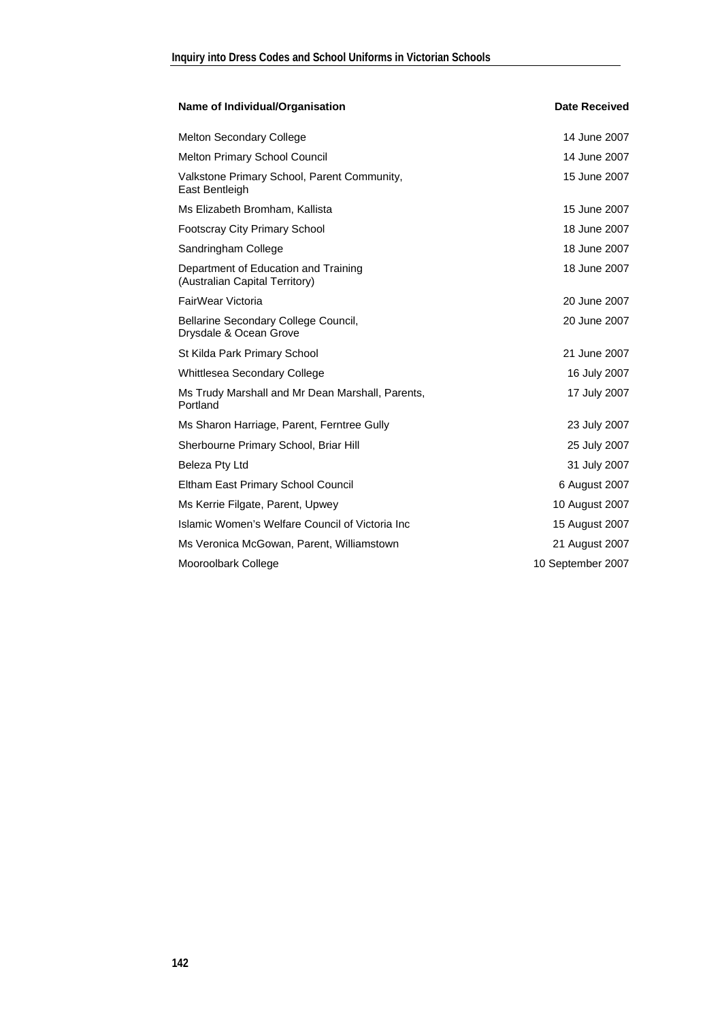| Name of Individual/Organisation                                        | <b>Date Received</b> |
|------------------------------------------------------------------------|----------------------|
| <b>Melton Secondary College</b>                                        | 14 June 2007         |
| <b>Melton Primary School Council</b>                                   | 14 June 2007         |
| Valkstone Primary School, Parent Community,<br>East Bentleigh          | 15 June 2007         |
| Ms Elizabeth Bromham, Kallista                                         | 15 June 2007         |
| <b>Footscray City Primary School</b>                                   | 18 June 2007         |
| Sandringham College                                                    | 18 June 2007         |
| Department of Education and Training<br>(Australian Capital Territory) | 18 June 2007         |
| FairWear Victoria                                                      | 20 June 2007         |
| Bellarine Secondary College Council,<br>Drysdale & Ocean Grove         | 20 June 2007         |
| St Kilda Park Primary School                                           | 21 June 2007         |
| Whittlesea Secondary College                                           | 16 July 2007         |
| Ms Trudy Marshall and Mr Dean Marshall, Parents,<br>Portland           | 17 July 2007         |
| Ms Sharon Harriage, Parent, Ferntree Gully                             | 23 July 2007         |
| Sherbourne Primary School, Briar Hill                                  | 25 July 2007         |
| Beleza Pty Ltd                                                         | 31 July 2007         |
| Eltham East Primary School Council                                     | 6 August 2007        |
| Ms Kerrie Filgate, Parent, Upwey                                       | 10 August 2007       |
| Islamic Women's Welfare Council of Victoria Inc                        | 15 August 2007       |
| Ms Veronica McGowan, Parent, Williamstown                              | 21 August 2007       |
| Mooroolbark College                                                    | 10 September 2007    |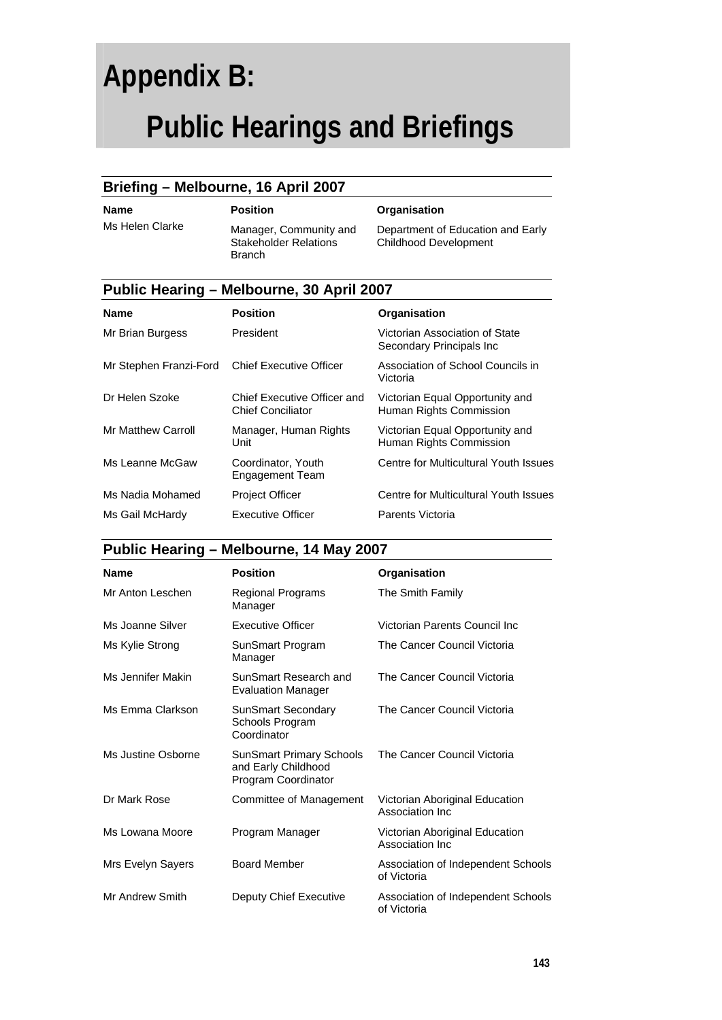# **Appendix B: Public Hearings and Briefings**

#### **Briefing – Melbourne, 16 April 2007**

Ms Helen Clarke Manager, Community and Stakeholder Relations Branch

#### **Name** Position **Position Organisation**

Department of Education and Early Childhood Development

| Public Hearing – Melbourne, 30 April 2007 |                                                         |                                                             |  |
|-------------------------------------------|---------------------------------------------------------|-------------------------------------------------------------|--|
| <b>Name</b>                               | <b>Position</b>                                         | Organisation                                                |  |
| Mr Brian Burgess                          | President                                               | Victorian Association of State<br>Secondary Principals Inc. |  |
| Mr Stephen Franzi-Ford                    | <b>Chief Executive Officer</b>                          | Association of School Councils in<br>Victoria               |  |
| Dr Helen Szoke                            | Chief Executive Officer and<br><b>Chief Conciliator</b> | Victorian Equal Opportunity and<br>Human Rights Commission  |  |
| <b>Mr Matthew Carroll</b>                 | Manager, Human Rights<br>Unit                           | Victorian Equal Opportunity and<br>Human Rights Commission  |  |
| Ms Leanne McGaw                           | Coordinator, Youth<br><b>Engagement Team</b>            | Centre for Multicultural Youth Issues                       |  |
| Ms Nadia Mohamed                          | <b>Project Officer</b>                                  | Centre for Multicultural Youth Issues                       |  |
| Ms Gail McHardy                           | Executive Officer                                       | Parents Victoria                                            |  |

#### **Public Hearing – Melbourne, 14 May 2007**

| <b>Name</b>        | <b>Position</b>                                                               | Organisation                                       |
|--------------------|-------------------------------------------------------------------------------|----------------------------------------------------|
| Mr Anton Leschen   | Regional Programs<br>Manager                                                  | The Smith Family                                   |
| Ms Joanne Silver   | <b>Executive Officer</b>                                                      | Victorian Parents Council Inc                      |
| Ms Kylie Strong    | SunSmart Program<br>Manager                                                   | The Cancer Council Victoria                        |
| Ms Jennifer Makin  | SunSmart Research and<br><b>Evaluation Manager</b>                            | The Cancer Council Victoria                        |
| Ms Emma Clarkson   | <b>SunSmart Secondary</b><br>Schools Program<br>Coordinator                   | The Cancer Council Victoria                        |
| Ms Justine Osborne | <b>SunSmart Primary Schools</b><br>and Early Childhood<br>Program Coordinator | The Cancer Council Victoria                        |
| Dr Mark Rose       | Committee of Management                                                       | Victorian Aboriginal Education<br>Association Inc. |
| Ms Lowana Moore    | Program Manager                                                               | Victorian Aboriginal Education<br>Association Inc. |
| Mrs Evelyn Sayers  | <b>Board Member</b>                                                           | Association of Independent Schools<br>of Victoria  |
| Mr Andrew Smith    | Deputy Chief Executive                                                        | Association of Independent Schools<br>of Victoria  |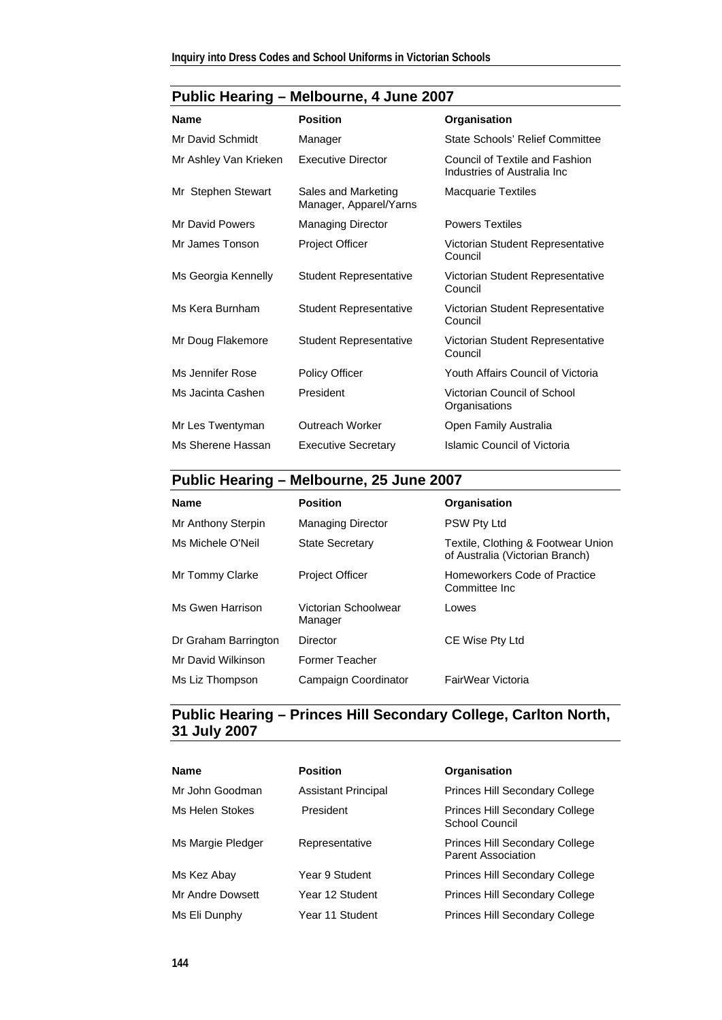| <b>Name</b>           | <b>Position</b>                               | Organisation                                                  |
|-----------------------|-----------------------------------------------|---------------------------------------------------------------|
| Mr David Schmidt      | Manager                                       | State Schools' Relief Committee                               |
| Mr Ashley Van Krieken | Executive Director                            | Council of Textile and Fashion<br>Industries of Australia Inc |
| Mr Stephen Stewart    | Sales and Marketing<br>Manager, Apparel/Yarns | <b>Macquarie Textiles</b>                                     |
| Mr David Powers       | <b>Managing Director</b>                      | <b>Powers Textiles</b>                                        |
| Mr James Tonson       | <b>Project Officer</b>                        | Victorian Student Representative<br>Council                   |
| Ms Georgia Kennelly   | <b>Student Representative</b>                 | Victorian Student Representative<br>Council                   |
| Ms Kera Burnham       | <b>Student Representative</b>                 | Victorian Student Representative<br>Council                   |
| Mr Doug Flakemore     | <b>Student Representative</b>                 | Victorian Student Representative<br>Council                   |
| Ms Jennifer Rose      | <b>Policy Officer</b>                         | Youth Affairs Council of Victoria                             |
| Ms Jacinta Cashen     | President                                     | Victorian Council of School<br>Organisations                  |
| Mr Les Twentyman      | Outreach Worker                               | Open Family Australia                                         |
| Ms Sherene Hassan     | <b>Executive Secretary</b>                    | Islamic Council of Victoria                                   |

### **Public Hearing – Melbourne, 25 June 2007**

| <b>Name</b>          | <b>Position</b>                 | Organisation                                                          |
|----------------------|---------------------------------|-----------------------------------------------------------------------|
| Mr Anthony Sterpin   | <b>Managing Director</b>        | PSW Pty Ltd                                                           |
| Ms Michele O'Neil    | <b>State Secretary</b>          | Textile, Clothing & Footwear Union<br>of Australia (Victorian Branch) |
| Mr Tommy Clarke      | <b>Project Officer</b>          | Homeworkers Code of Practice<br>Committee Inc.                        |
| Ms Gwen Harrison     | Victorian Schoolwear<br>Manager | Lowes                                                                 |
| Dr Graham Barrington | Director                        | CE Wise Pty Ltd                                                       |
| Mr David Wilkinson   | Former Teacher                  |                                                                       |
| Ms Liz Thompson      | Campaign Coordinator            | FairWear Victoria                                                     |

#### **Public Hearing – Princes Hill Secondary College, Carlton North, 31 July 2007**

| <b>Name</b>       | <b>Position</b>            | Organisation                                                       |
|-------------------|----------------------------|--------------------------------------------------------------------|
| Mr John Goodman   | <b>Assistant Principal</b> | <b>Princes Hill Secondary College</b>                              |
| Ms Helen Stokes   | President                  | <b>Princes Hill Secondary College</b><br>School Council            |
| Ms Margie Pledger | Representative             | <b>Princes Hill Secondary College</b><br><b>Parent Association</b> |
| Ms Kez Abay       | Year 9 Student             | <b>Princes Hill Secondary College</b>                              |
| Mr Andre Dowsett  | Year 12 Student            | <b>Princes Hill Secondary College</b>                              |
| Ms Eli Dunphy     | Year 11 Student            | <b>Princes Hill Secondary College</b>                              |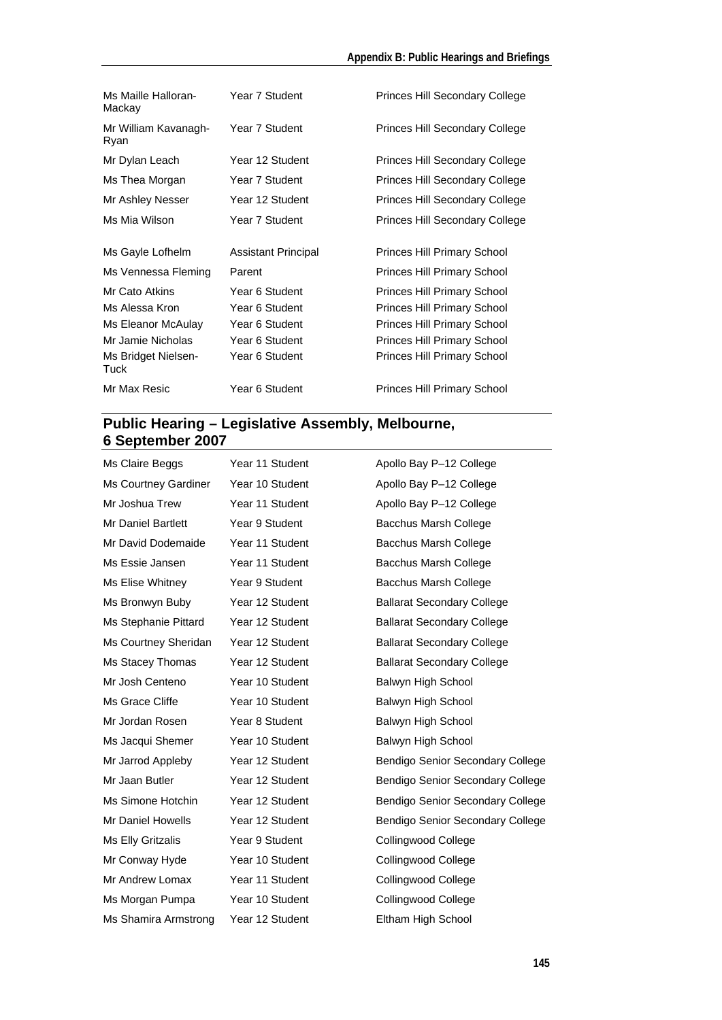#### **Appendix B: Public Hearings and Briefings**

| Ms Maille Halloran-<br>Mackay | Year 7 Student             | <b>Princes Hill Secondary College</b> |
|-------------------------------|----------------------------|---------------------------------------|
| Mr William Kavanagh-<br>Ryan  | Year 7 Student             | <b>Princes Hill Secondary College</b> |
| Mr Dylan Leach                | Year 12 Student            | <b>Princes Hill Secondary College</b> |
| Ms Thea Morgan                | Year 7 Student             | <b>Princes Hill Secondary College</b> |
| Mr Ashley Nesser              | Year 12 Student            | <b>Princes Hill Secondary College</b> |
| Ms Mia Wilson                 | Year 7 Student             | <b>Princes Hill Secondary College</b> |
|                               |                            |                                       |
| Ms Gayle Lofhelm              | <b>Assistant Principal</b> | <b>Princes Hill Primary School</b>    |
| Ms Vennessa Fleming           | Parent                     | <b>Princes Hill Primary School</b>    |
| Mr Cato Atkins                | Year 6 Student             | <b>Princes Hill Primary School</b>    |
| Ms Alessa Kron                | Year 6 Student             | <b>Princes Hill Primary School</b>    |
| Ms Eleanor McAulay            | Year 6 Student             | <b>Princes Hill Primary School</b>    |
| Mr Jamie Nicholas             | Year 6 Student             | <b>Princes Hill Primary School</b>    |
| Ms Bridget Nielsen-<br>Tuck   | Year 6 Student             | <b>Princes Hill Primary School</b>    |

#### **Public Hearing – Legislative Assembly, Melbourne, 6 September 2007**

| Ms Claire Beggs      | Year 11 Student | Apollo Bay P-12 College           |
|----------------------|-----------------|-----------------------------------|
| Ms Courtney Gardiner | Year 10 Student | Apollo Bay P-12 College           |
| Mr Joshua Trew       | Year 11 Student | Apollo Bay P-12 College           |
| Mr Daniel Bartlett   | Year 9 Student  | Bacchus Marsh College             |
| Mr David Dodemaide   | Year 11 Student | Bacchus Marsh College             |
| Ms Essie Jansen      | Year 11 Student | Bacchus Marsh College             |
| Ms Elise Whitney     | Year 9 Student  | Bacchus Marsh College             |
| Ms Bronwyn Buby      | Year 12 Student | <b>Ballarat Secondary College</b> |
| Ms Stephanie Pittard | Year 12 Student | <b>Ballarat Secondary College</b> |
| Ms Courtney Sheridan | Year 12 Student | <b>Ballarat Secondary College</b> |
| Ms Stacey Thomas     | Year 12 Student | <b>Ballarat Secondary College</b> |
| Mr Josh Centeno      | Year 10 Student | Balwyn High School                |
| Ms Grace Cliffe      | Year 10 Student | Balwyn High School                |
| Mr Jordan Rosen      | Year 8 Student  | Balwyn High School                |
| Ms Jacqui Shemer     | Year 10 Student | Balwyn High School                |
| Mr Jarrod Appleby    | Year 12 Student | Bendigo Senior Secondary College  |
| Mr Jaan Butler       | Year 12 Student | Bendigo Senior Secondary College  |
| Ms Simone Hotchin    | Year 12 Student | Bendigo Senior Secondary College  |
| Mr Daniel Howells    | Year 12 Student | Bendigo Senior Secondary College  |
| Ms Elly Gritzalis    | Year 9 Student  | Collingwood College               |
| Mr Conway Hyde       | Year 10 Student | Collingwood College               |
| Mr Andrew Lomax      | Year 11 Student | Collingwood College               |
| Ms Morgan Pumpa      | Year 10 Student | <b>Collingwood College</b>        |
| Ms Shamira Armstrong | Year 12 Student | Eltham High School                |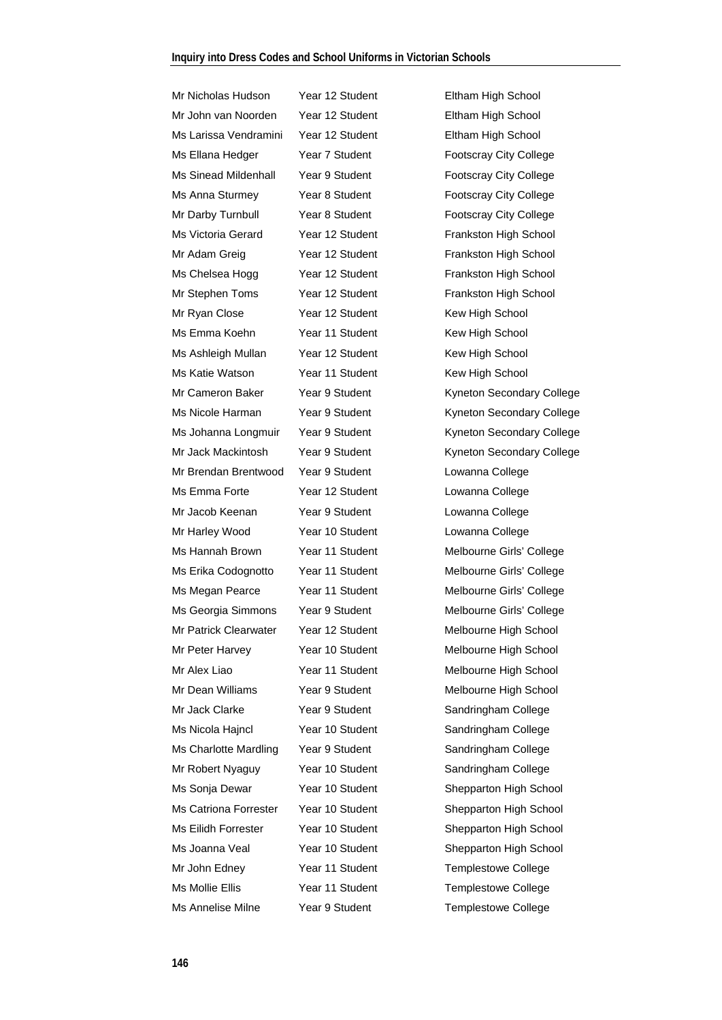Mr Nicholas Hudson Year 12 Student Eltham High School Mr John van Noorden Year 12 Student Eltham High School Ms Larissa Vendramini Year 12 Student Eltham High School Ms Ellana Hedger Year 7 Student Footscray City College Ms Sinead Mildenhall Year 9 Student Footscray City College Ms Anna Sturmey Year 8 Student Footscray City College Mr Darby Turnbull Year 8 Student Footscray City College Ms Victoria Gerard Year 12 Student Frankston High School Mr Adam Greig Year 12 Student Frankston High School Ms Chelsea Hogg Year 12 Student Frankston High School Mr Stephen Toms Year 12 Student Frankston High School Mr Ryan Close Year 12 Student Kew High School Ms Emma Koehn Year 11 Student Kew High School Ms Ashleigh Mullan Year 12 Student Kew High School Ms Katie Watson Year 11 Student Kew High School Mr Brendan Brentwood Year 9 Student Lowanna College Ms Emma Forte Year 12 Student Lowanna College Mr Jacob Keenan Year 9 Student Lowanna College Mr Harley Wood Year 10 Student Lowanna College Ms Hannah Brown Year 11 Student Melbourne Girls' College Ms Erika Codognotto Year 11 Student Melbourne Girls' College Ms Megan Pearce Year 11 Student Melbourne Girls' College Ms Georgia Simmons Year 9 Student Melbourne Girls' College Mr Patrick Clearwater Year 12 Student Melbourne High School Mr Peter Harvey Year 10 Student Melbourne High School Mr Alex Liao **Year 11 Student** Melbourne High School Mr Dean Williams Year 9 Student Melbourne High School Mr Jack Clarke Year 9 Student Sandringham College Ms Nicola Hajncl Year 10 Student Sandringham College Ms Charlotte Mardling Year 9 Student Sandringham College Mr Robert Nyaguy Year 10 Student Sandringham College Ms Sonja Dewar Year 10 Student Shepparton High School Ms Catriona Forrester Year 10 Student Shepparton High School Ms Eilidh Forrester Year 10 Student Shepparton High School Ms Joanna Veal Year 10 Student Shepparton High School Mr John Edney Year 11 Student Templestowe College Ms Mollie Ellis Tear 11 Student Templestowe College Ms Annelise Milne Year 9 Student Templestowe College

Mr Cameron Baker Year 9 Student Kyneton Secondary College Ms Nicole Harman Year 9 Student Kyneton Secondary College Ms Johanna Longmuir Year 9 Student Kyneton Secondary College Mr Jack Mackintosh Year 9 Student Kyneton Secondary College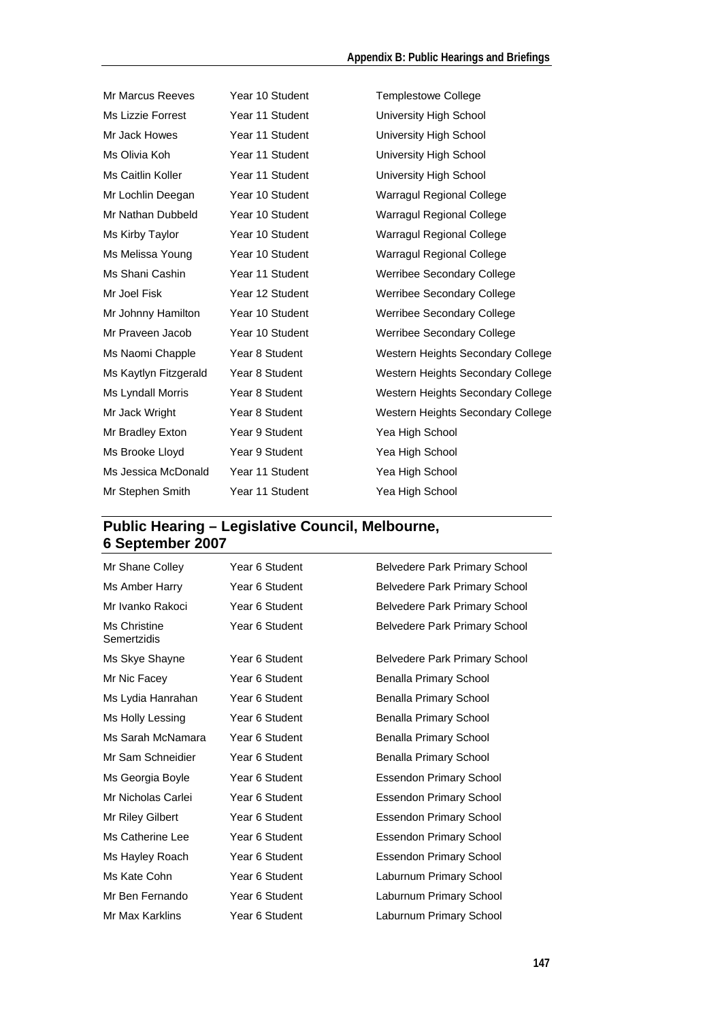| <b>Mr Marcus Reeves</b> | Year 10 Student | <b>Templestowe College</b>        |
|-------------------------|-----------------|-----------------------------------|
| Ms Lizzie Forrest       | Year 11 Student | University High School            |
| Mr Jack Howes           | Year 11 Student | University High School            |
| Ms Olivia Koh           | Year 11 Student | University High School            |
| Ms Caitlin Koller       | Year 11 Student | University High School            |
| Mr Lochlin Deegan       | Year 10 Student | Warragul Regional College         |
| Mr Nathan Dubbeld       | Year 10 Student | Warragul Regional College         |
| Ms Kirby Taylor         | Year 10 Student | Warragul Regional College         |
| Ms Melissa Young        | Year 10 Student | Warragul Regional College         |
| Ms Shani Cashin         | Year 11 Student | Werribee Secondary College        |
| Mr Joel Fisk            | Year 12 Student | Werribee Secondary College        |
| Mr Johnny Hamilton      | Year 10 Student | Werribee Secondary College        |
| Mr Praveen Jacob        | Year 10 Student | Werribee Secondary College        |
| Ms Naomi Chapple        | Year 8 Student  | Western Heights Secondary College |
| Ms Kaytlyn Fitzgerald   | Year 8 Student  | Western Heights Secondary College |
| Ms Lyndall Morris       | Year 8 Student  | Western Heights Secondary College |
| Mr Jack Wright          | Year 8 Student  | Western Heights Secondary College |
| Mr Bradley Exton        | Year 9 Student  | Yea High School                   |
| Ms Brooke Lloyd         | Year 9 Student  | Yea High School                   |
| Ms Jessica McDonald     | Year 11 Student | Yea High School                   |
| Mr Stephen Smith        | Year 11 Student | Yea High School                   |

### **Public Hearing – Legislative Council, Melbourne, 6 September 2007**

| Mr Shane Colley             | Year 6 Student | <b>Belvedere Park Primary School</b> |
|-----------------------------|----------------|--------------------------------------|
| Ms Amber Harry              | Year 6 Student | <b>Belvedere Park Primary School</b> |
| Mr Ivanko Rakoci            | Year 6 Student | <b>Belvedere Park Primary School</b> |
| Ms Christine<br>Semertzidis | Year 6 Student | <b>Belvedere Park Primary School</b> |
| Ms Skye Shayne              | Year 6 Student | Belvedere Park Primary School        |
| Mr Nic Facey                | Year 6 Student | Benalla Primary School               |
| Ms Lydia Hanrahan           | Year 6 Student | Benalla Primary School               |
| Ms Holly Lessing            | Year 6 Student | Benalla Primary School               |
| Ms Sarah McNamara           | Year 6 Student | Benalla Primary School               |
| Mr Sam Schneidier           | Year 6 Student | Benalla Primary School               |
| Ms Georgia Boyle            | Year 6 Student | <b>Essendon Primary School</b>       |
| Mr Nicholas Carlei          | Year 6 Student | <b>Essendon Primary School</b>       |
| Mr Riley Gilbert            | Year 6 Student | <b>Essendon Primary School</b>       |
| Ms Catherine Lee            | Year 6 Student | <b>Essendon Primary School</b>       |
| Ms Hayley Roach             | Year 6 Student | <b>Essendon Primary School</b>       |
| Ms Kate Cohn                | Year 6 Student | Laburnum Primary School              |
| Mr Ben Fernando             | Year 6 Student | Laburnum Primary School              |
| Mr Max Karklins             | Year 6 Student | Laburnum Primary School              |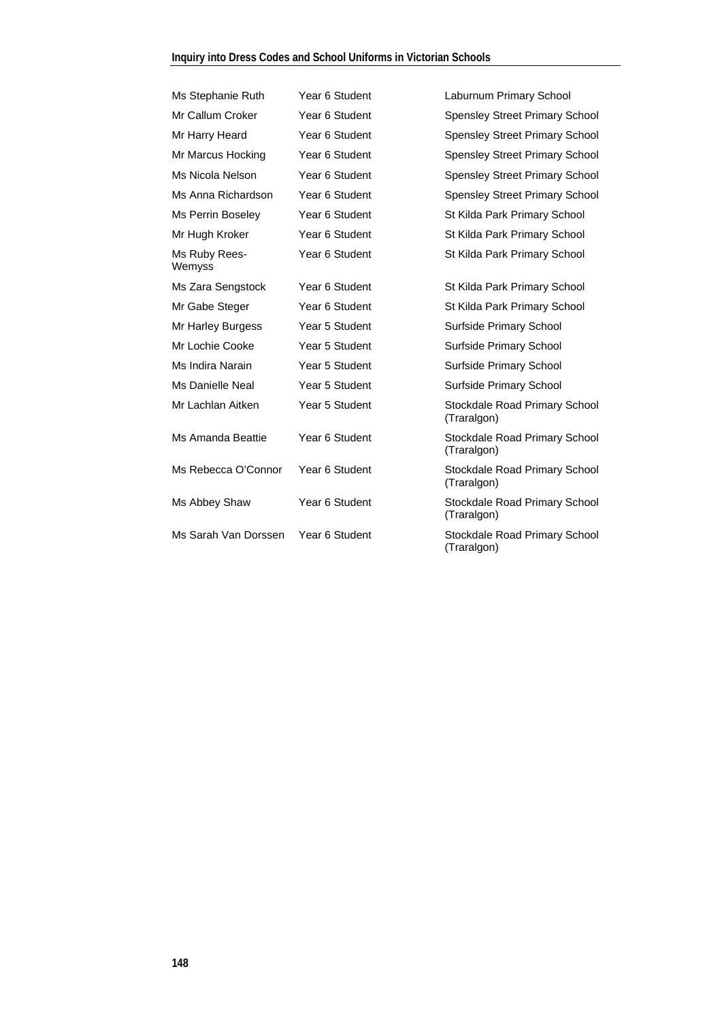| Ms Stephanie Ruth       | Year 6 Student | Laburnum Primary School                      |
|-------------------------|----------------|----------------------------------------------|
| Mr Callum Croker        | Year 6 Student | <b>Spensley Street Primary School</b>        |
| Mr Harry Heard          | Year 6 Student | <b>Spensley Street Primary School</b>        |
| Mr Marcus Hocking       | Year 6 Student | <b>Spensley Street Primary School</b>        |
| Ms Nicola Nelson        | Year 6 Student | <b>Spensley Street Primary School</b>        |
| Ms Anna Richardson      | Year 6 Student | <b>Spensley Street Primary School</b>        |
| Ms Perrin Boseley       | Year 6 Student | St Kilda Park Primary School                 |
| Mr Hugh Kroker          | Year 6 Student | St Kilda Park Primary School                 |
| Ms Ruby Rees-<br>Wemyss | Year 6 Student | St Kilda Park Primary School                 |
| Ms Zara Sengstock       | Year 6 Student | St Kilda Park Primary School                 |
| Mr Gabe Steger          | Year 6 Student | St Kilda Park Primary School                 |
| Mr Harley Burgess       | Year 5 Student | Surfside Primary School                      |
| Mr Lochie Cooke         | Year 5 Student | Surfside Primary School                      |
| Ms Indira Narain        | Year 5 Student | Surfside Primary School                      |
| Ms Danielle Neal        | Year 5 Student | Surfside Primary School                      |
| Mr Lachlan Aitken       | Year 5 Student | Stockdale Road Primary School<br>(Traralgon) |
| Ms Amanda Beattie       | Year 6 Student | Stockdale Road Primary School<br>(Traralgon) |
| Ms Rebecca O'Connor     | Year 6 Student | Stockdale Road Primary School<br>(Traralgon) |
| Ms Abbey Shaw           | Year 6 Student | Stockdale Road Primary School<br>(Traralgon) |
| Ms Sarah Van Dorssen    | Year 6 Student | Stockdale Road Primary School<br>(Traralgon) |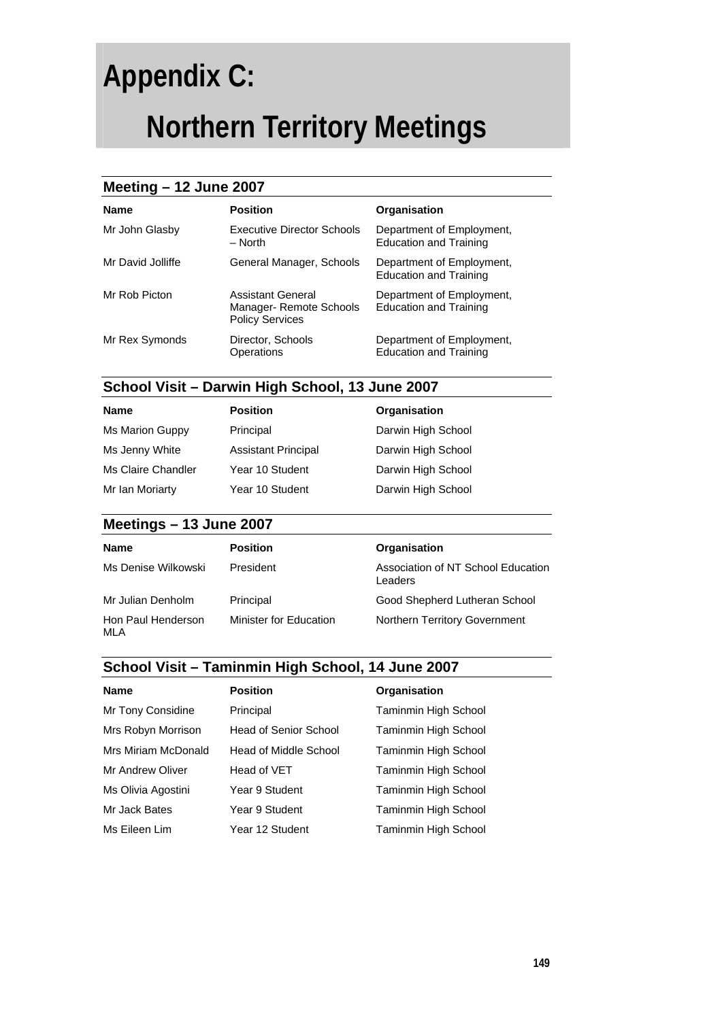## **Appendix C:**

## **Northern Territory Meetings**

#### **Meeting – 12 June 2007**

| <b>Name</b>       | <b>Position</b>                                                        | Organisation                                               |
|-------------------|------------------------------------------------------------------------|------------------------------------------------------------|
| Mr John Glasby    | <b>Executive Director Schools</b><br>$-$ North                         | Department of Employment,<br><b>Education and Training</b> |
| Mr David Jolliffe | General Manager, Schools                                               | Department of Employment,<br><b>Education and Training</b> |
| Mr Rob Picton     | Assistant General<br>Manager- Remote Schools<br><b>Policy Services</b> | Department of Employment,<br><b>Education and Training</b> |
| Mr Rex Symonds    | Director, Schools<br>Operations                                        | Department of Employment,<br><b>Education and Training</b> |

### **School Visit – Darwin High School, 13 June 2007**

| <b>Name</b>        | <b>Position</b>            | Organisation       |
|--------------------|----------------------------|--------------------|
| Ms Marion Guppy    | Principal                  | Darwin High School |
| Ms Jenny White     | <b>Assistant Principal</b> | Darwin High School |
| Ms Claire Chandler | Year 10 Student            | Darwin High School |
| Mr Ian Moriarty    | Year 10 Student            | Darwin High School |

#### **Meetings – 13 June 2007**

| <b>Name</b>               | <b>Position</b>        | Organisation                                  |
|---------------------------|------------------------|-----------------------------------------------|
| Ms Denise Wilkowski       | President              | Association of NT School Education<br>Leaders |
| Mr Julian Denholm         | Principal              | Good Shepherd Lutheran School                 |
| Hon Paul Henderson<br>MLA | Minister for Education | Northern Territory Government                 |

#### **School Visit – Taminmin High School, 14 June 2007**

| <b>Name</b>         | <b>Position</b>       | Organisation                |
|---------------------|-----------------------|-----------------------------|
| Mr Tony Considine   | Principal             | <b>Taminmin High School</b> |
| Mrs Robyn Morrison  | Head of Senior School | Taminmin High School        |
| Mrs Miriam McDonald | Head of Middle School | Taminmin High School        |
| Mr Andrew Oliver    | Head of VET           | <b>Taminmin High School</b> |
| Ms Olivia Agostini  | Year 9 Student        | <b>Taminmin High School</b> |
| Mr Jack Bates       | Year 9 Student        | <b>Taminmin High School</b> |
| Ms Eileen Lim       | Year 12 Student       | <b>Taminmin High School</b> |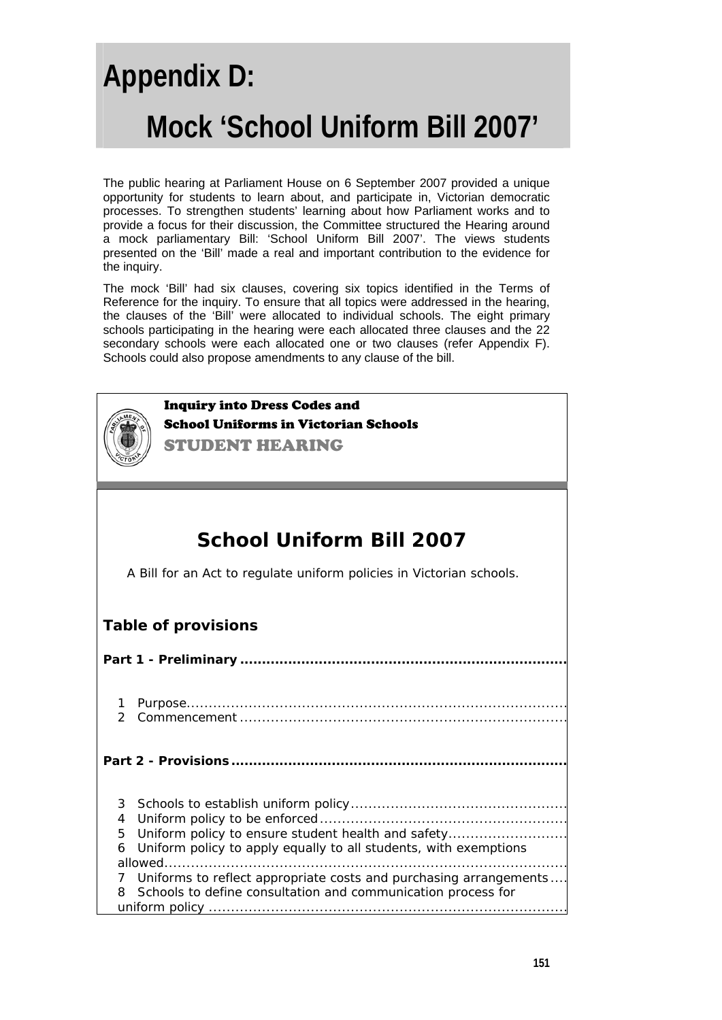# **Appendix D: Mock 'School Uniform Bill 2007'**

The public hearing at Parliament House on 6 September 2007 provided a unique opportunity for students to learn about, and participate in, Victorian democratic processes. To strengthen students' learning about how Parliament works and to provide a focus for their discussion, the Committee structured the Hearing around a mock parliamentary Bill: 'School Uniform Bill 2007'. The views students presented on the 'Bill' made a real and important contribution to the evidence for the inquiry.

The mock 'Bill' had six clauses, covering six topics identified in the Terms of Reference for the inquiry. To ensure that all topics were addressed in the hearing, the clauses of the 'Bill' were allocated to individual schools. The eight primary schools participating in the hearing were each allocated three clauses and the 22 secondary schools were each allocated one or two clauses (refer Appendix F). Schools could also propose amendments to any clause of the bill.



Inquiry into Dress Codes and School Uniforms in Victorian Schools

STUDENT HEARING

### **School Uniform Bill 2007**

A Bill for an Act to regulate uniform policies in Victorian schools.

#### **Table of provisions**

| $\mathcal{P}$ |                                                                   |
|---------------|-------------------------------------------------------------------|
|               |                                                                   |
|               |                                                                   |
| 4             |                                                                   |
| 5.            | Uniform policy to ensure student health and safety                |
| 6             | Uniform policy to apply equally to all students, with exemptions  |
|               |                                                                   |
|               | Uniforms to reflect appropriate costs and purchasing arrangements |
|               | Schools to define consultation and communication process for      |
|               |                                                                   |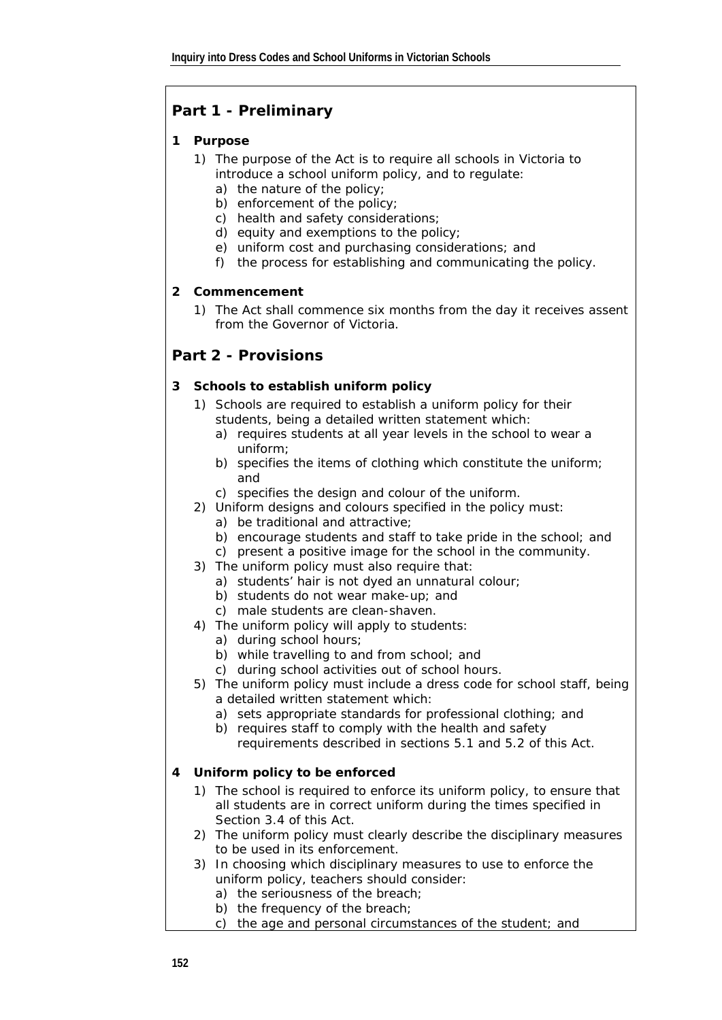### **Part 1 - Preliminary**

#### **1** *Purpose*

- 1) The purpose of the Act is to require all schools in Victoria to introduce a school uniform policy, and to regulate:
	- a) the nature of the policy;
	- b) enforcement of the policy;
	- c) health and safety considerations;
	- d) equity and exemptions to the policy;
	- e) uniform cost and purchasing considerations; and
	- f) the process for establishing and communicating the policy.

#### **2** *Commencement*

1) The Act shall commence six months from the day it receives assent from the Governor of Victoria.

#### **Part 2 - Provisions**

#### **3** *Schools to establish uniform policy*

- 1) Schools are required to establish a uniform policy for their students, being a detailed written statement which:
	- a) requires students at all year levels in the school to wear a uniform;
	- b) specifies the items of clothing which constitute the uniform; and
	- c) specifies the design and colour of the uniform.
- 2) Uniform designs and colours specified in the policy must:
	- a) be traditional and attractive;
	- b) encourage students and staff to take pride in the school; and
	- c) present a positive image for the school in the community.
- 3) The uniform policy must also require that:
	- a) students' hair is not dyed an unnatural colour;
	- b) students do not wear make-up; and
	- c) male students are clean-shaven.
- 4) The uniform policy will apply to students:
	- a) during school hours;
	- b) while travelling to and from school; and
	- c) during school activities out of school hours.
- 5) The uniform policy must include a dress code for school staff, being a detailed written statement which:
	- a) sets appropriate standards for professional clothing; and
	- b) requires staff to comply with the health and safety requirements described in sections 5.1 and 5.2 of this Act.

#### **4** *Uniform policy to be enforced*

- 1) The school is required to enforce its uniform policy, to ensure that all students are in correct uniform during the times specified in Section 3.4 of this Act.
- 2) The uniform policy must clearly describe the disciplinary measures to be used in its enforcement.
- 3) In choosing which disciplinary measures to use to enforce the uniform policy, teachers should consider:
	- a) the seriousness of the breach;
	- b) the frequency of the breach;
	- c) the age and personal circumstances of the student; and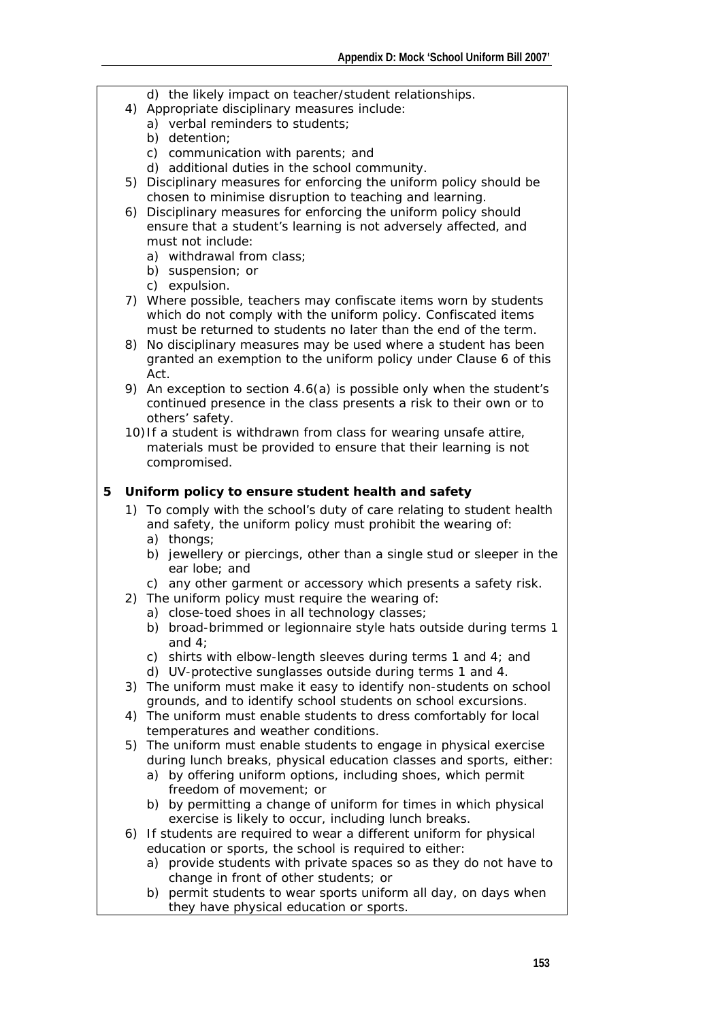- d) the likely impact on teacher/student relationships.
- 4) Appropriate disciplinary measures include:
	- a) verbal reminders to students;
	- b) detention;
	- c) communication with parents; and
	- d) additional duties in the school community.
- 5) Disciplinary measures for enforcing the uniform policy should be chosen to minimise disruption to teaching and learning.
- 6) Disciplinary measures for enforcing the uniform policy should ensure that a student's learning is not adversely affected, and must not include:
	- a) withdrawal from class;
	- b) suspension; or
	- c) expulsion.
- 7) Where possible, teachers may confiscate items worn by students which do not comply with the uniform policy. Confiscated items must be returned to students no later than the end of the term.
- 8) No disciplinary measures may be used where a student has been granted an exemption to the uniform policy under Clause 6 of this Act.
- 9) An exception to section 4.6(a) is possible only when the student's continued presence in the class presents a risk to their own or to others' safety.
- 10)If a student is withdrawn from class for wearing unsafe attire, materials must be provided to ensure that their learning is not compromised.

#### **5** *Uniform policy to ensure student health and safety*

- 1) To comply with the school's duty of care relating to student health and safety, the uniform policy must prohibit the wearing of:
	- a) thongs;
	- b) jewellery or piercings, other than a single stud or sleeper in the ear lobe; and
	- c) any other garment or accessory which presents a safety risk.
- 2) The uniform policy must require the wearing of:
	- a) close-toed shoes in all technology classes;
	- b) broad-brimmed or legionnaire style hats outside during terms 1 and 4;
	- c) shirts with elbow-length sleeves during terms 1 and 4; and
	- d) UV-protective sunglasses outside during terms 1 and 4.
- 3) The uniform must make it easy to identify non-students on school grounds, and to identify school students on school excursions.
- 4) The uniform must enable students to dress comfortably for local temperatures and weather conditions.
- 5) The uniform must enable students to engage in physical exercise during lunch breaks, physical education classes and sports, either:
	- a) by offering uniform options, including shoes, which permit freedom of movement; or
	- b) by permitting a change of uniform for times in which physical exercise is likely to occur, including lunch breaks.
- 6) If students are required to wear a different uniform for physical education or sports, the school is required to either:
	- a) provide students with private spaces so as they do not have to change in front of other students; or
	- b) permit students to wear sports uniform all day, on days when they have physical education or sports.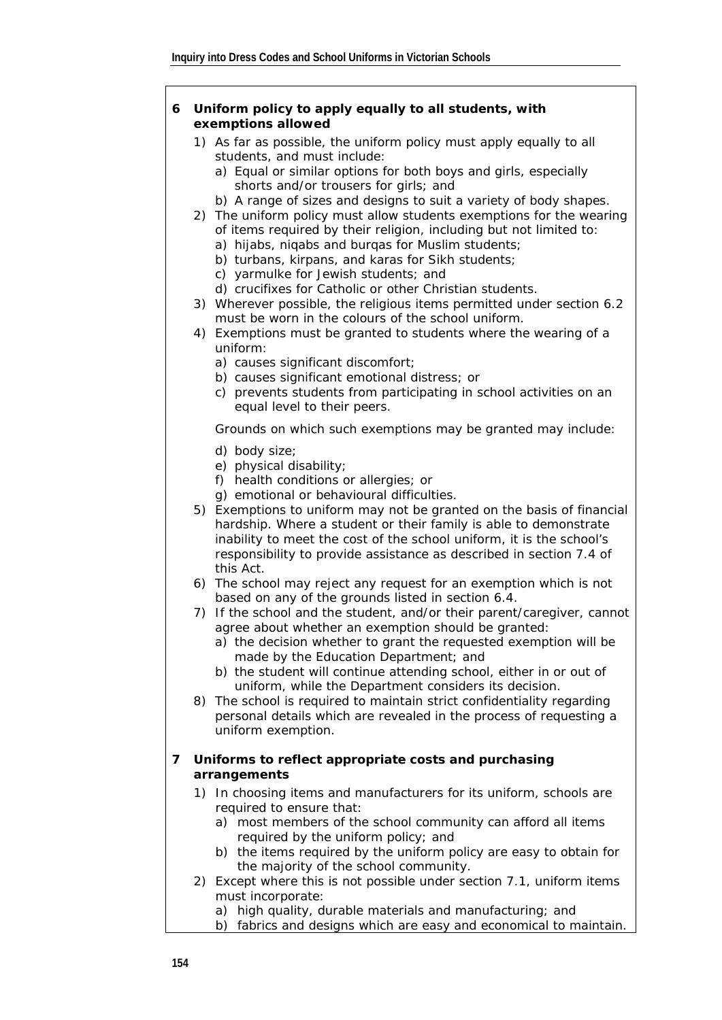#### **6** *Uniform policy to apply equally to all students, with exemptions allowed*

- 1) As far as possible, the uniform policy must apply equally to all students, and must include:
	- a) Equal or similar options for both boys and girls, especially shorts and/or trousers for girls; and
	- b) A range of sizes and designs to suit a variety of body shapes.
- 2) The uniform policy must allow students exemptions for the wearing of items required by their religion, including but not limited to:
	- a) hijabs, niqabs and burqas for Muslim students;
	- b) turbans, kirpans, and karas for Sikh students;
	- c) yarmulke for Jewish students; and
	- d) crucifixes for Catholic or other Christian students.
- 3) Wherever possible, the religious items permitted under section 6.2 must be worn in the colours of the school uniform.
- 4) Exemptions must be granted to students where the wearing of a uniform:
	- a) causes significant discomfort;
	- b) causes significant emotional distress; or
	- c) prevents students from participating in school activities on an equal level to their peers.

Grounds on which such exemptions may be granted may include:

- d) body size;
- e) physical disability;
- f) health conditions or allergies; or
- g) emotional or behavioural difficulties.
- 5) Exemptions to uniform may not be granted on the basis of financial hardship. Where a student or their family is able to demonstrate inability to meet the cost of the school uniform, it is the school's responsibility to provide assistance as described in section 7.4 of this Act.
- 6) The school may reject any request for an exemption which is not based on any of the grounds listed in section 6.4.
- 7) If the school and the student, and/or their parent/caregiver, cannot agree about whether an exemption should be granted:
	- a) the decision whether to grant the requested exemption will be made by the Education Department; and
	- b) the student will continue attending school, either in or out of uniform, while the Department considers its decision.
- 8) The school is required to maintain strict confidentiality regarding personal details which are revealed in the process of requesting a uniform exemption.

#### **7** *Uniforms to reflect appropriate costs and purchasing arrangements*

- 1) In choosing items and manufacturers for its uniform, schools are required to ensure that:
	- a) most members of the school community can afford all items required by the uniform policy; and
	- b) the items required by the uniform policy are easy to obtain for the majority of the school community.
- 2) Except where this is not possible under section 7.1, uniform items must incorporate:
	- a) high quality, durable materials and manufacturing; and
	- b) fabrics and designs which are easy and economical to maintain.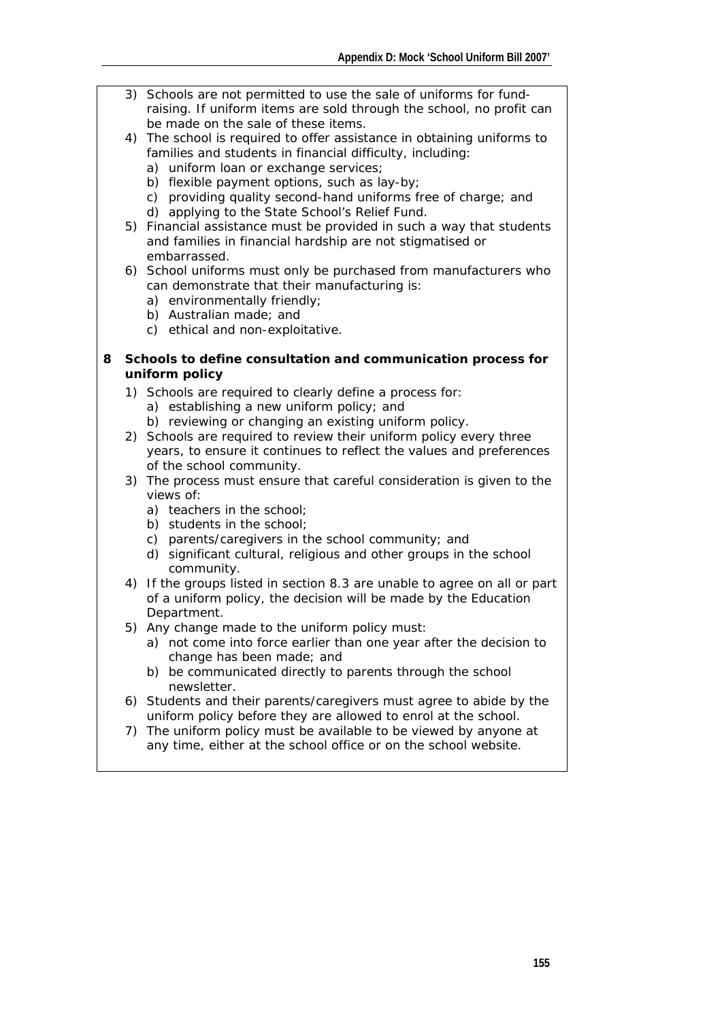- 3) Schools are not permitted to use the sale of uniforms for fundraising. If uniform items are sold through the school, no profit can be made on the sale of these items.
- 4) The school is required to offer assistance in obtaining uniforms to families and students in financial difficulty, including:
	- a) uniform loan or exchange services;
	- b) flexible payment options, such as lay-by;
	- c) providing quality second-hand uniforms free of charge; and
	- d) applying to the State School's Relief Fund.
- 5) Financial assistance must be provided in such a way that students and families in financial hardship are not stigmatised or embarrassed.
- 6) School uniforms must only be purchased from manufacturers who can demonstrate that their manufacturing is:
	- a) environmentally friendly;
	- b) Australian made; and
	- c) ethical and non-exploitative.

#### **8** *Schools to define consultation and communication process for uniform policy*

- 1) Schools are required to clearly define a process for:
	- a) establishing a new uniform policy; and
	- b) reviewing or changing an existing uniform policy.
- 2) Schools are required to review their uniform policy every three years, to ensure it continues to reflect the values and preferences of the school community.
- 3) The process must ensure that careful consideration is given to the views of:
	- a) teachers in the school;
	- b) students in the school:
	- c) parents/caregivers in the school community; and
	- d) significant cultural, religious and other groups in the school community.
- 4) If the groups listed in section 8.3 are unable to agree on all or part of a uniform policy, the decision will be made by the Education Department.
- 5) Any change made to the uniform policy must:
	- a) not come into force earlier than one year after the decision to change has been made; and
	- b) be communicated directly to parents through the school newsletter.
- 6) Students and their parents/caregivers must agree to abide by the uniform policy before they are allowed to enrol at the school.
- 7) The uniform policy must be available to be viewed by anyone at any time, either at the school office or on the school website.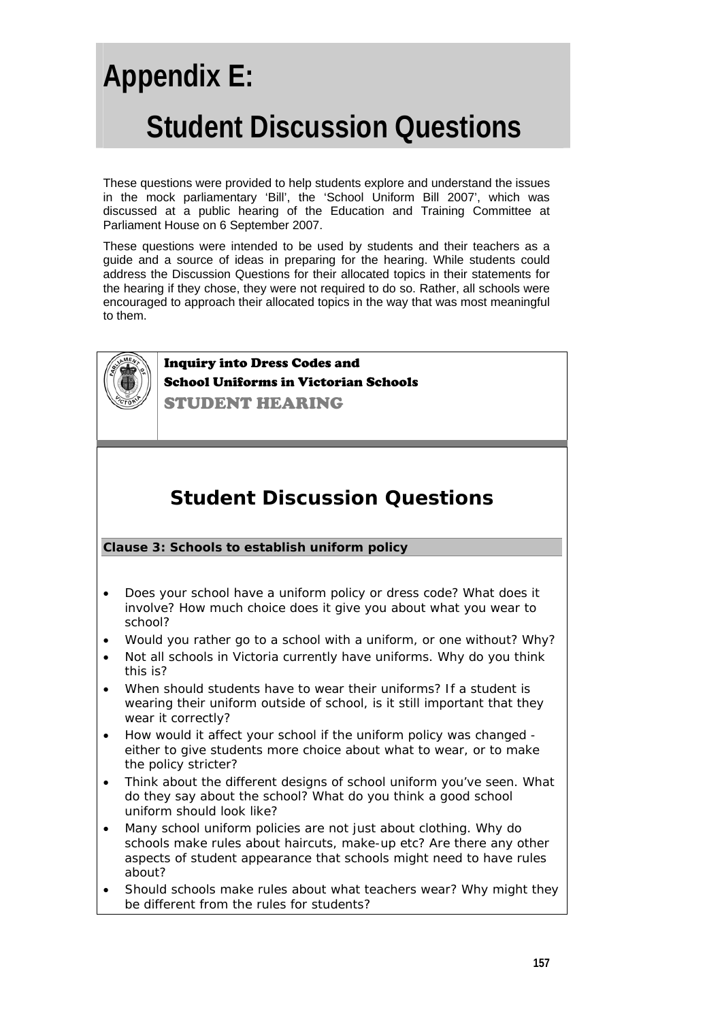# **Appendix E: Student Discussion Questions**

These questions were provided to help students explore and understand the issues in the mock parliamentary 'Bill', the 'School Uniform Bill 2007', which was discussed at a public hearing of the Education and Training Committee at Parliament House on 6 September 2007.

These questions were intended to be used by students and their teachers as a guide and a source of ideas in preparing for the hearing. While students could address the Discussion Questions for their allocated topics in their statements for the hearing if they chose, they were not required to do so. Rather, all schools were encouraged to approach their allocated topics in the way that was most meaningful to them.



Inquiry into Dress Codes and School Uniforms in Victorian Schools STUDENT HEARING

### **Student Discussion Questions**

#### **Clause 3: Schools to establish uniform policy**

- Does your school have a uniform policy or dress code? What does it involve? How much choice does it give you about what you wear to school?
- Would you rather go to a school with a uniform, or one without? Why?
- Not all schools in Victoria currently have uniforms. Why do you think this is?
- When should students have to wear their uniforms? If a student is wearing their uniform outside of school, is it still important that they wear it correctly?
- How would it affect your school if the uniform policy was changed either to give students more choice about what to wear, or to make the policy stricter?
- Think about the different designs of school uniform you've seen. What do they say about the school? What do you think a good school uniform should look like?
- Many school uniform policies are not just about clothing. Why do schools make rules about haircuts, make-up etc? Are there any other aspects of student appearance that schools might need to have rules about?
- Should schools make rules about what teachers wear? Why might they be different from the rules for students?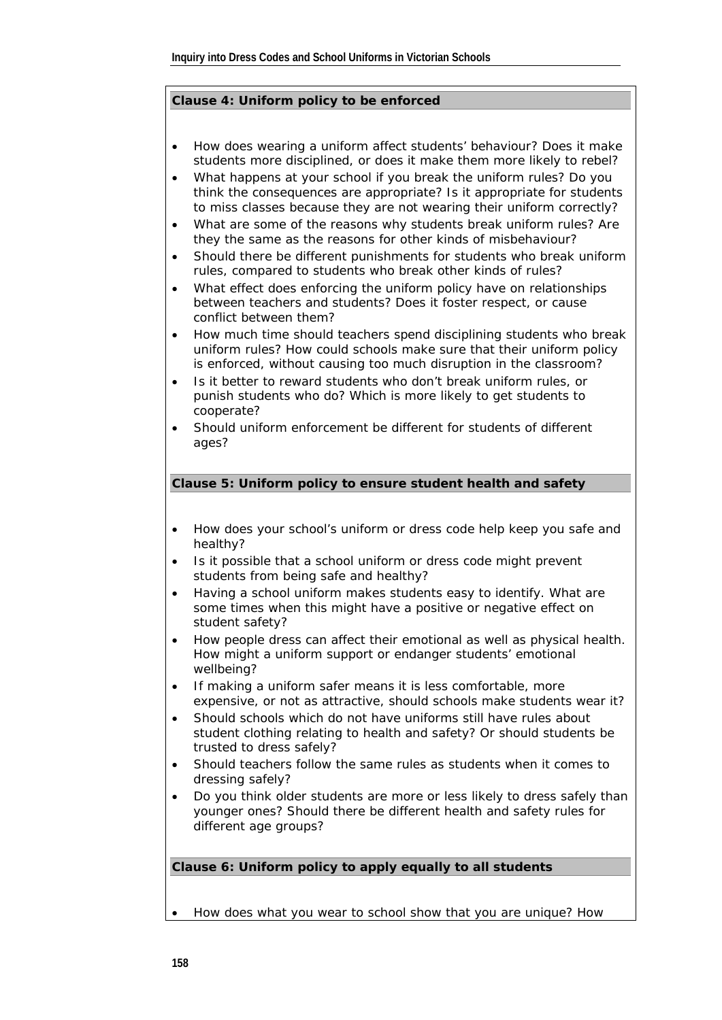#### **Clause 4: Uniform policy to be enforced**

- How does wearing a uniform affect students' behaviour? Does it make students more disciplined, or does it make them more likely to rebel?
- What happens at your school if you break the uniform rules? Do you think the consequences are appropriate? Is it appropriate for students to miss classes because they are not wearing their uniform correctly?
- What are some of the reasons why students break uniform rules? Are they the same as the reasons for other kinds of misbehaviour?
- Should there be different punishments for students who break uniform rules, compared to students who break other kinds of rules?
- What effect does enforcing the uniform policy have on relationships between teachers and students? Does it foster respect, or cause conflict between them?
- How much time should teachers spend disciplining students who break uniform rules? How could schools make sure that their uniform policy is enforced, without causing too much disruption in the classroom?
- Is it better to reward students who don't break uniform rules, or punish students who do? Which is more likely to get students to cooperate?
- Should uniform enforcement be different for students of different ages?

#### **Clause 5: Uniform policy to ensure student health and safety**

- How does your school's uniform or dress code help keep you safe and healthy?
- Is it possible that a school uniform or dress code might prevent students from being safe and healthy?
- Having a school uniform makes students easy to identify. What are some times when this might have a positive or negative effect on student safety?
- How people dress can affect their emotional as well as physical health. How might a uniform support or endanger students' emotional wellbeing?
- If making a uniform safer means it is less comfortable, more expensive, or not as attractive, should schools make students wear it?
- Should schools which do not have uniforms still have rules about student clothing relating to health and safety? Or should students be trusted to dress safely?
- Should teachers follow the same rules as students when it comes to dressing safely?
- Do you think older students are more or less likely to dress safely than younger ones? Should there be different health and safety rules for different age groups?

#### **Clause 6: Uniform policy to apply equally to all students**

• How does what you wear to school show that you are unique? How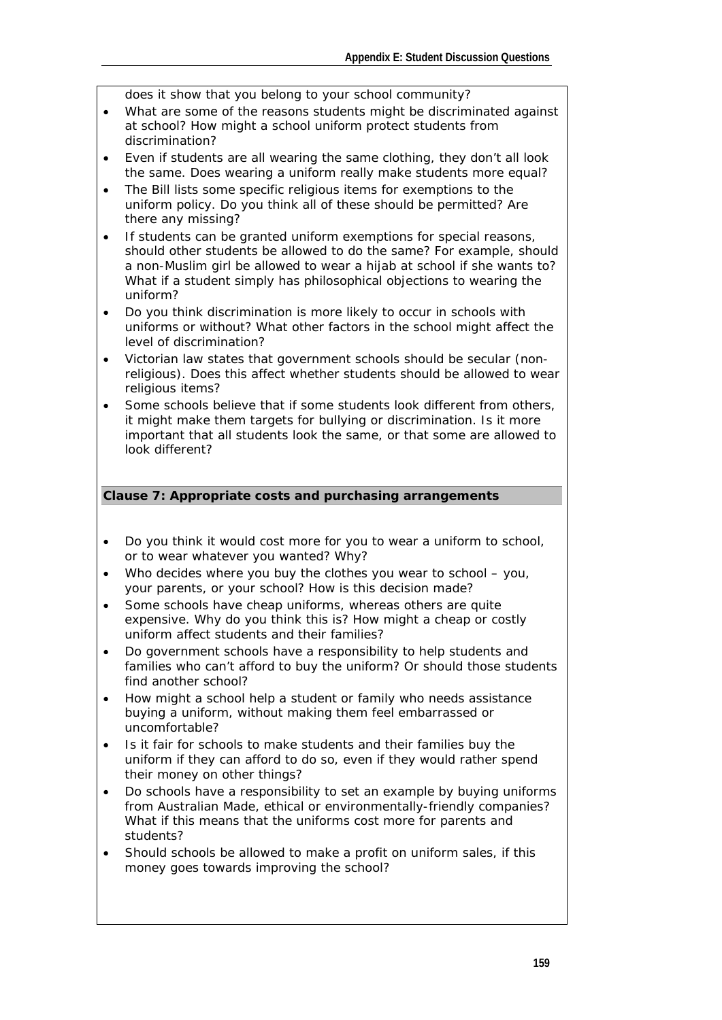does it show that you belong to your school community?

- What are some of the reasons students might be discriminated against at school? How might a school uniform protect students from discrimination?
- Even if students are all wearing the same clothing, they don't all look the same. Does wearing a uniform really make students more equal?
- The Bill lists some specific religious items for exemptions to the uniform policy. Do you think all of these should be permitted? Are there any missing?
- If students can be granted uniform exemptions for special reasons, should other students be allowed to do the same? For example, should a non-Muslim girl be allowed to wear a hijab at school if she wants to? What if a student simply has philosophical objections to wearing the uniform?
- Do you think discrimination is more likely to occur in schools with uniforms or without? What other factors in the school might affect the level of discrimination?
- Victorian law states that government schools should be secular (nonreligious). Does this affect whether students should be allowed to wear religious items?
- Some schools believe that if some students look different from others, it might make them targets for bullying or discrimination. Is it more important that all students look the same, or that some are allowed to look different?

#### **Clause 7: Appropriate costs and purchasing arrangements**

- Do you think it would cost more for you to wear a uniform to school, or to wear whatever you wanted? Why?
- Who decides where you buy the clothes you wear to school you, your parents, or your school? How is this decision made?
- Some schools have cheap uniforms, whereas others are quite expensive. Why do you think this is? How might a cheap or costly uniform affect students and their families?
- Do government schools have a responsibility to help students and families who can't afford to buy the uniform? Or should those students find another school?
- How might a school help a student or family who needs assistance buying a uniform, without making them feel embarrassed or uncomfortable?
- Is it fair for schools to make students and their families buy the uniform if they can afford to do so, even if they would rather spend their money on other things?
- Do schools have a responsibility to set an example by buying uniforms from Australian Made, ethical or environmentally-friendly companies? What if this means that the uniforms cost more for parents and students?
- Should schools be allowed to make a profit on uniform sales, if this money goes towards improving the school?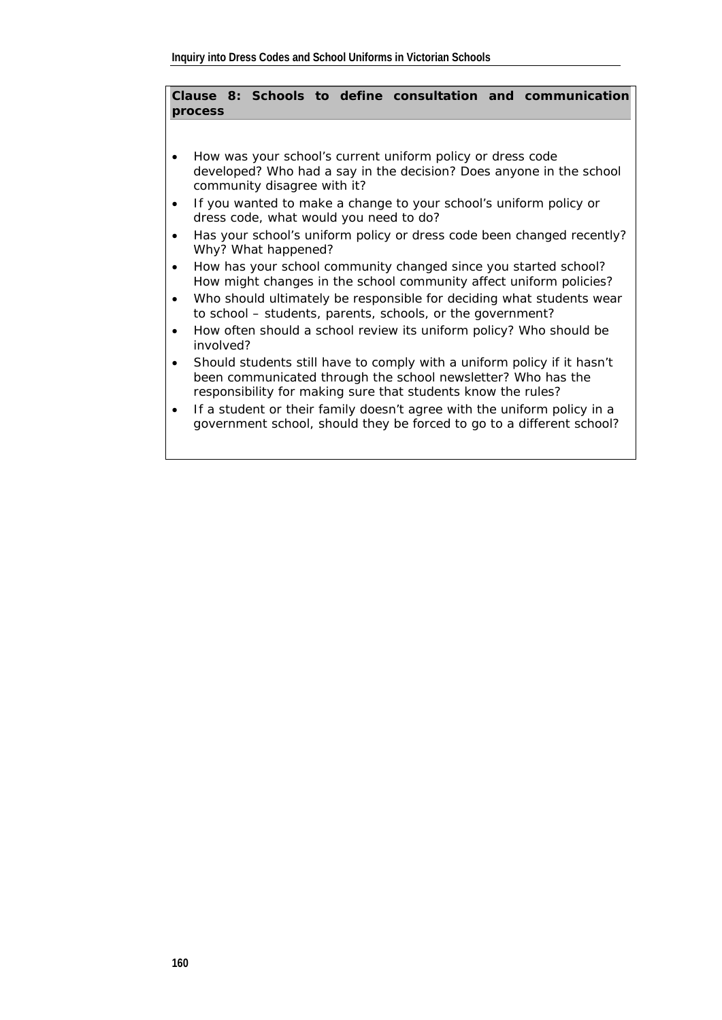#### **Clause 8: Schools to define consultation and communication process**

- How was your school's current uniform policy or dress code developed? Who had a say in the decision? Does anyone in the school community disagree with it?
- If you wanted to make a change to your school's uniform policy or dress code, what would you need to do?
- Has your school's uniform policy or dress code been changed recently? Why? What happened?
- How has your school community changed since you started school? How might changes in the school community affect uniform policies?
- Who should ultimately be responsible for deciding what students wear to school – students, parents, schools, or the government?
- How often should a school review its uniform policy? Who should be involved?
- Should students still have to comply with a uniform policy if it hasn't been communicated through the school newsletter? Who has the responsibility for making sure that students know the rules?
- If a student or their family doesn't agree with the uniform policy in a government school, should they be forced to go to a different school?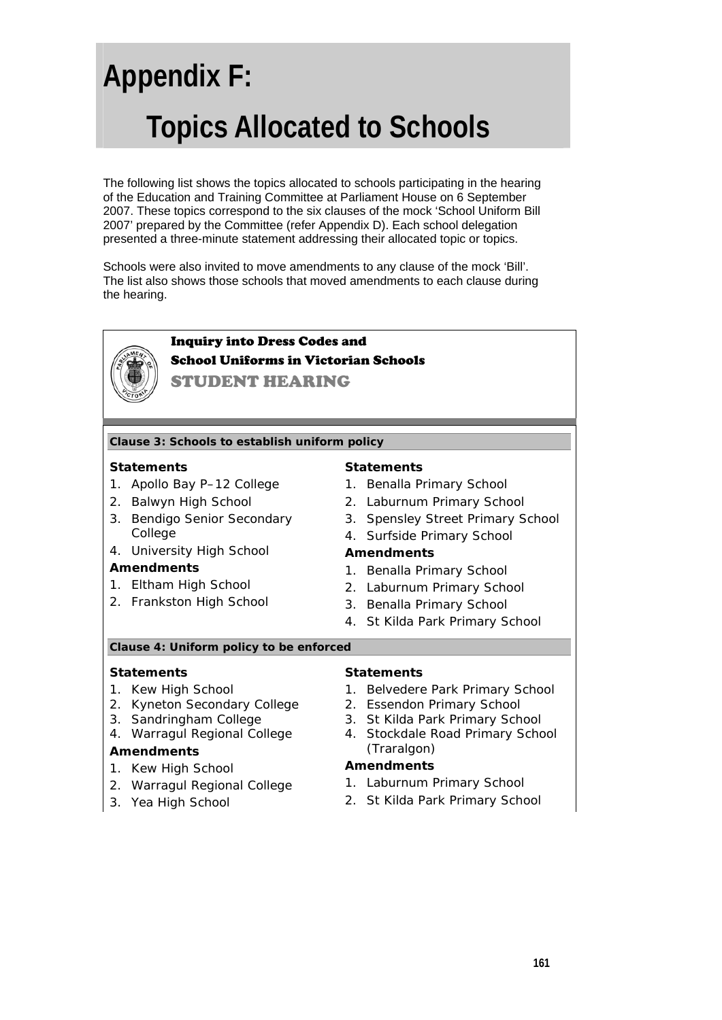# **Appendix F: Topics Allocated to Schools**

The following list shows the topics allocated to schools participating in the hearing of the Education and Training Committee at Parliament House on 6 September 2007. These topics correspond to the six clauses of the mock 'School Uniform Bill 2007' prepared by the Committee (refer Appendix D). Each school delegation presented a three-minute statement addressing their allocated topic or topics.

Schools were also invited to move amendments to any clause of the mock 'Bill'. The list also shows those schools that moved amendments to each clause during the hearing.

#### Inquiry into Dress Codes and School Uniforms in Victorian Schools STUDENT HEARING **Clause 3: Schools to establish uniform policy Statements**  1. Apollo Bay P–12 College 2. Balwyn High School 3. Bendigo Senior Secondary College 4. University High School **Amendments**  1. Eltham High School 2. Frankston High School **Statements**  1. Benalla Primary School 2. Laburnum Primary School 3. Spensley Street Primary School 4. Surfside Primary School **Amendments**  1. Benalla Primary School 2. Laburnum Primary School 3. Benalla Primary School 4. St Kilda Park Primary School **Clause 4: Uniform policy to be enforced Statements**  1. Kew High School 2. Kyneton Secondary College 3. Sandringham College 4. Warragul Regional College **Amendments**  1. Kew High School 2. Warragul Regional College 3. Yea High School **Statements**  1. Belvedere Park Primary School 2. Essendon Primary School 3. St Kilda Park Primary School 4. Stockdale Road Primary School (Traralgon) **Amendments**  1. Laburnum Primary School 2. St Kilda Park Primary School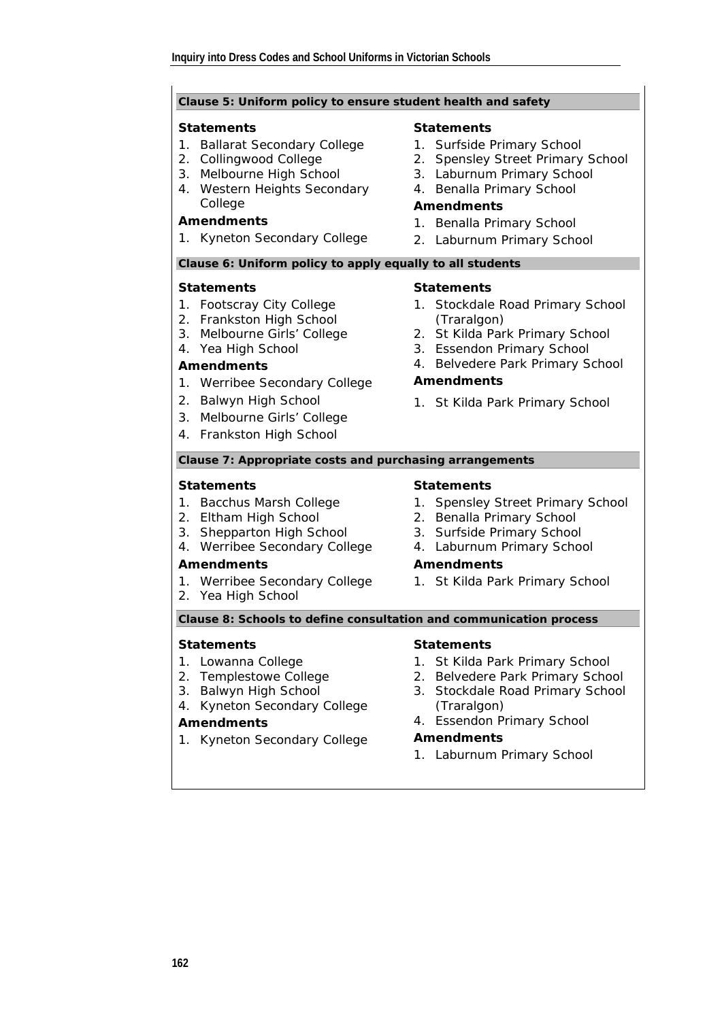#### **Clause 5: Uniform policy to ensure student health and safety**

#### **Statements**

- 1. Ballarat Secondary College
- 2. Collingwood College
- 3. Melbourne High School
- 4. Western Heights Secondary College

#### **Amendments**

1. Kyneton Secondary College

#### **Statements**

- 1. Surfside Primary School
- 2. Spensley Street Primary School
- 3. Laburnum Primary School
- 4. Benalla Primary School

#### **Amendments**

- 1. Benalla Primary School
- 2. Laburnum Primary School

#### **Clause 6: Uniform policy to apply equally to all students**

#### **Statements**

- 1. Footscray City College
- 2. Frankston High School
- 3. Melbourne Girls' College
- 4. Yea High School

#### **Amendments**

- 1. Werribee Secondary College
- 2. Balwyn High School
- 3. Melbourne Girls' College
- 4. Frankston High School

#### **Statements**  1. Stockdale Road Primary School

- (Traralgon) 2. St Kilda Park Primary School
- 3. Essendon Primary School
- 4. Belvedere Park Primary School

#### **Amendments**

1. St Kilda Park Primary School

#### **Clause 7: Appropriate costs and purchasing arrangements**

#### **Statements**

- 1. Bacchus Marsh College
- 2. Eltham High School
- 3. Shepparton High School
- 4. Werribee Secondary College

#### **Amendments**

- 1. Werribee Secondary College
- 2. Yea High School

#### **Statements**

- 1. Spensley Street Primary School
- 2. Benalla Primary School
- 3. Surfside Primary School
- 4. Laburnum Primary School

#### **Amendments**

1. St Kilda Park Primary School

**Clause 8: Schools to define consultation and communication process** 

#### **Statements**

- 1. Lowanna College
- 2. Templestowe College
- 3. Balwyn High School
- 4. Kyneton Secondary College

#### **Amendments**

1. Kyneton Secondary College

#### **Statements**

- 1. St Kilda Park Primary School
- 2. Belvedere Park Primary School
- 3. Stockdale Road Primary School (Traralgon)
- 4. Essendon Primary School

#### **Amendments**

1. Laburnum Primary School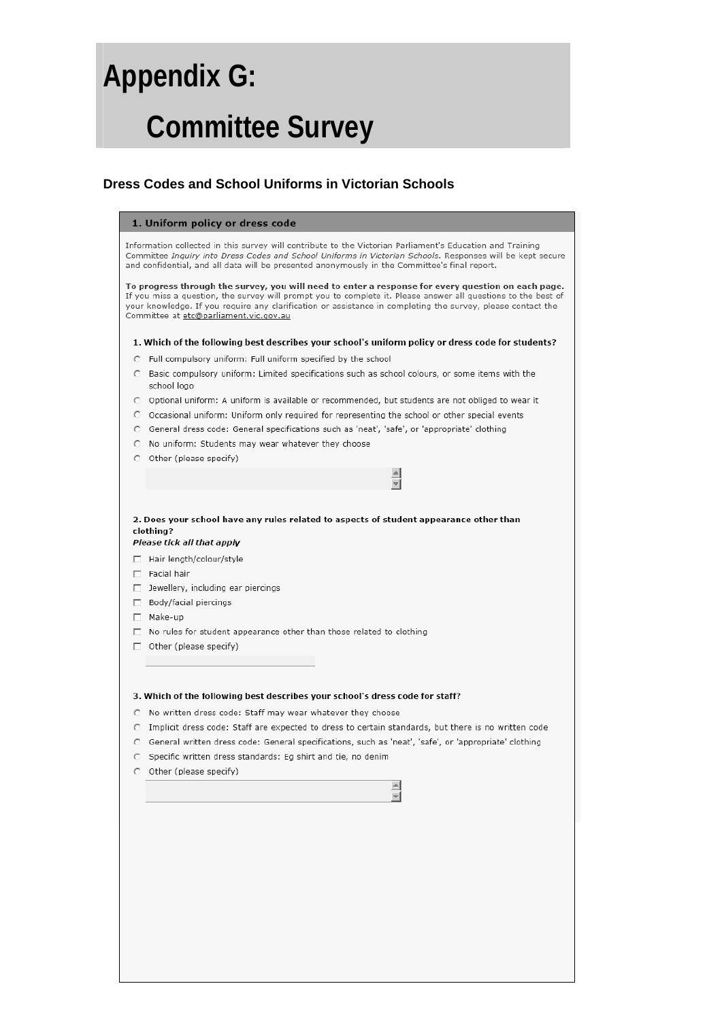# **Appendix G: Committee Survey**

|  |  | Dress Codes and School Uniforms in Victorian Schools |  |  |
|--|--|------------------------------------------------------|--|--|
|  |  |                                                      |  |  |

#### 1. Uniform policy or dress code

Information collected in this survey will contribute to the Victorian Parliament's Education and Training Committee Inquiry into Dress Codes and School Uniforms in Victorian Schools. Responses will be kept secure and confidential, and all data will be presented anonymously in the Committee's final report.

To progress through the survey, you will need to enter a response for every question on each page. If you miss a question, the survey will prompt you to complete it. Please answer all questions to the best of your knowledge. If you require any clarification or assistance in completing the survey, please contact the Committee at etc@parliament.vic.gov.au

1. Which of the following best describes your school's uniform policy or dress code for students?

- C Full compulsory uniform: Full uniform specified by the school
- Basic compulsory uniform: Limited specifications such as school colours, or some items with the school logo
- C Optional uniform: A uniform is available or recommended, but students are not obliged to wear it

 $\left| \right|$ न

- Occasional uniform: Uniform only required for representing the school or other special events
- General dress code: General specifications such as 'neat', 'safe', or 'appropriate' clothing  $\circ$
- C No uniform: Students may wear whatever they choose
- O Other (please specify)

2. Does your school have any rules related to aspects of student appearance other than clothing? Please tick all that apply

- Hair length/colour/style  $\Box$  Facial hair
- 
- $\Box$  Jewellery, including ear piercings Body/facial piercings
- $\Box$  Make-up
- No rules for student appearance other than those related to clothing
- Other (please specify)  $\Box$

#### 3. Which of the following best describes your school's dress code for staff?

- C No written dress code: Staff may wear whatever they choose
- Implicit dress code: Staff are expected to dress to certain standards, but there is no written code
- General written dress code: General specifications, such as 'neat', 'safe', or 'appropriate' clothing  $\cap$
- $\cap$ Specific written dress standards: Eg shirt and tie, no denim
- O Other (please specify)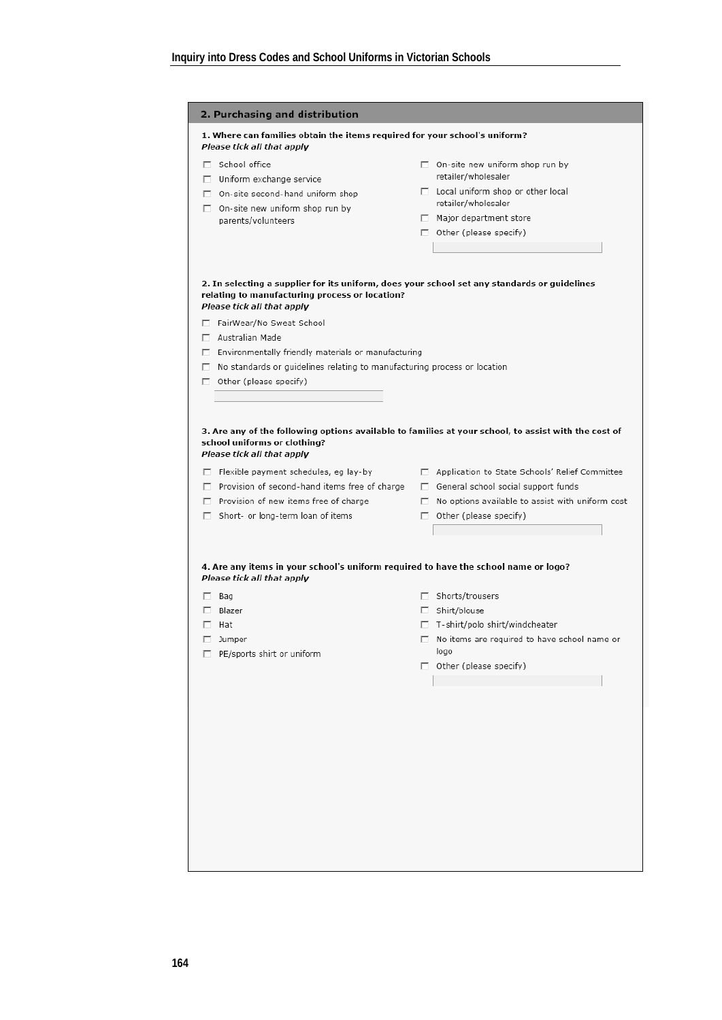|                                                                                                      | 1. Where can families obtain the items required for your school's uniform?<br>Please tick all that apply                                                                                                                                                                           |                                                                                          |
|------------------------------------------------------------------------------------------------------|------------------------------------------------------------------------------------------------------------------------------------------------------------------------------------------------------------------------------------------------------------------------------------|------------------------------------------------------------------------------------------|
|                                                                                                      | □ School office                                                                                                                                                                                                                                                                    | $\Box$ On-site new uniform shop run by                                                   |
|                                                                                                      | $\Box$ Uniform exchange service                                                                                                                                                                                                                                                    | retailer/wholesaler                                                                      |
|                                                                                                      | $\Box$ On-site second-hand uniform shop<br>$\Box$ On-site new uniform shop run by                                                                                                                                                                                                  | $\Box$ Local uniform shop or other local<br>retailer/wholesaler                          |
|                                                                                                      | parents/volunteers                                                                                                                                                                                                                                                                 | $\Box$ Major department store                                                            |
|                                                                                                      |                                                                                                                                                                                                                                                                                    | $\Box$ Other (please specify)                                                            |
|                                                                                                      |                                                                                                                                                                                                                                                                                    |                                                                                          |
|                                                                                                      | 2. In selecting a supplier for its uniform, does your school set any standards or guidelines<br>relating to manufacturing process or location?<br>Please tick all that apply                                                                                                       |                                                                                          |
|                                                                                                      | □ FairWear/No Sweat School                                                                                                                                                                                                                                                         |                                                                                          |
|                                                                                                      | Australian Made                                                                                                                                                                                                                                                                    |                                                                                          |
|                                                                                                      | $\Box$ Environmentally friendly materials or manufacturing                                                                                                                                                                                                                         |                                                                                          |
|                                                                                                      | $\Box$ No standards or guidelines relating to manufacturing process or location                                                                                                                                                                                                    |                                                                                          |
|                                                                                                      | $\Box$ Other (please specify)                                                                                                                                                                                                                                                      |                                                                                          |
|                                                                                                      |                                                                                                                                                                                                                                                                                    |                                                                                          |
| 3. Are any of the following options available to families at your school, to assist with the cost of | school uniforms or clothing?<br>Please tick all that apply<br>□ Flexible payment schedules, eg lay-by □ Application to State Schools' Relief Committee                                                                                                                             |                                                                                          |
|                                                                                                      | $\Box$ Provision of second-hand items free of charge $\Box$ General school social support funds<br>$\Box$ Provision of new items free of charge<br>$\Box$ Short- or long-term loan of items<br>4. Are any items in your school's uniform required to have the school name or logo? | $\Box$ No options available to assist with uniform cost<br>$\Box$ Other (please specify) |
|                                                                                                      | Please tick all that apply                                                                                                                                                                                                                                                         |                                                                                          |
|                                                                                                      | $\Box$ Bag                                                                                                                                                                                                                                                                         | □ Shorts/trousers                                                                        |
|                                                                                                      | $\Box$ Blazer<br>$\Box$ Hat                                                                                                                                                                                                                                                        | $\Box$ Shirt/blouse                                                                      |
|                                                                                                      | $\Box$ Jumper                                                                                                                                                                                                                                                                      | $\Box$ T-shirt/polo shirt/windcheater<br>□ No items are required to have school name or  |
|                                                                                                      | □ PE/sports shirt or uniform                                                                                                                                                                                                                                                       | logo<br>Other (please specify)                                                           |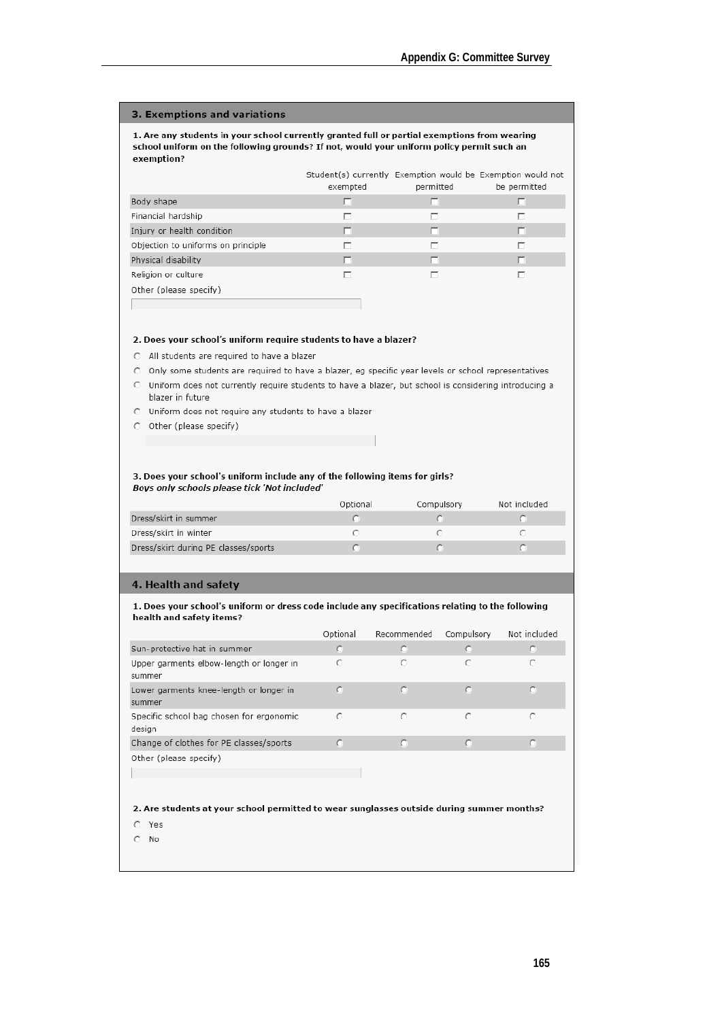#### 3. Exemptions and variations

1. Are any students in your school currently granted full or partial exemptions from wearing school uniform on the following grounds? If not, would your uniform policy permit such an exemption?

|                                    | exempted | permitted | Student(s) currently Exemption would be Exemption would not<br>be permitted |
|------------------------------------|----------|-----------|-----------------------------------------------------------------------------|
| Body shape                         | ш        |           | o                                                                           |
| Financial hardship                 |          | ┍         | п                                                                           |
| Injury or health condition         | п        |           | п                                                                           |
| Objection to uniforms on principle |          | ⊓         | п                                                                           |
| Physical disability                | Г.       | п         | □                                                                           |
| Religion or culture                |          |           | ┍                                                                           |
| Other (please specify)             |          |           |                                                                             |
|                                    |          |           |                                                                             |

#### 2. Does your school's uniform require students to have a blazer?

- C All students are required to have a blazer
- C Only some students are required to have a blazer, eg specific year levels or school representatives
- C Uniform does not currently require students to have a blazer, but school is considering introducing a blazer in future
- C Uniform does not require any students to have a blazer
- O Other (please specify)

#### 3. Does your school's uniform include any of the following items for girls? Boys only schools please tick 'Not included'

|                                      | Optional | Compulsory | Not included |
|--------------------------------------|----------|------------|--------------|
| Dress/skirt in summer                |          |            |              |
| Dress/skirt in winter                |          |            |              |
| Dress/skirt during PE classes/sports |          |            |              |

#### 4. Health and safety

#### 1. Does your school's uniform or dress code include any specifications relating to the following health and safety items?

|                                                    | Optional | Recommended | Compulsory | Not included |
|----------------------------------------------------|----------|-------------|------------|--------------|
| Sun-protective hat in summer                       | о        |             |            |              |
| Upper garments elbow-length or longer in<br>summer | C        | O           | O          |              |
| Lower garments knee-length or longer in<br>summer  |          |             |            |              |
| Specific school bag chosen for ergonomic<br>desian | $\circ$  | O           | O          |              |
| Change of clothes for PE classes/sports            | C.       |             |            |              |
| Other (please specify)                             |          |             |            |              |
|                                                    |          |             |            |              |

#### 2. Are students at your school permitted to wear sunglasses outside during summer months?

- $C$  Yes
- $\mathbb{C}$  No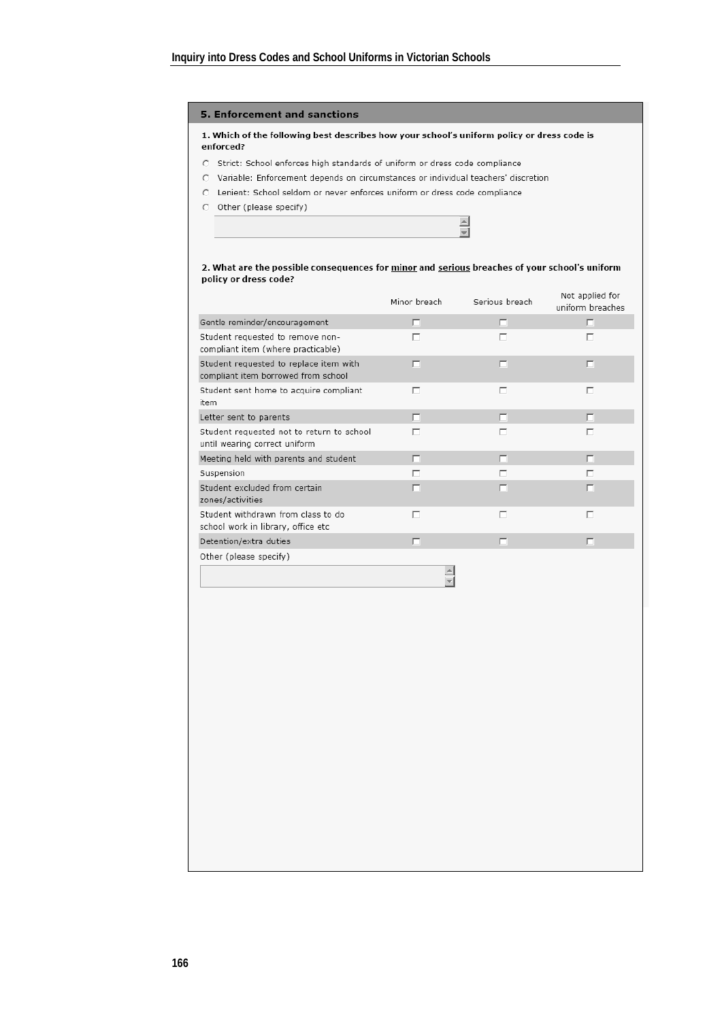#### 5. Enforcement and sanctions

#### 1. Which of the following best describes how your school's uniform policy or dress code is enforced?

- C Strict: School enforces high standards of uniform or dress code compliance
- C Variable: Enforcement depends on circumstances or individual teachers' discretion
- C Lenient: School seldom or never enforces uniform or dress code compliance
- O Other (please specify)

#### 2. What are the possible consequences for minor and serious breaches of your school's uniform policy or dress code?

 $\equiv$ Ξ

|                                                                               | Minor breach | Serious breach | Not applied for<br>uniform breaches |
|-------------------------------------------------------------------------------|--------------|----------------|-------------------------------------|
| Gentle reminder/encouragement                                                 | п            | г              | п                                   |
| Student requested to remove non-<br>compliant item (where practicable)        | ⊓            | п              | п                                   |
| Student requested to replace item with<br>compliant item borrowed from school | п            | г              | г                                   |
| Student sent home to acquire compliant<br>item                                | ┍            | г              | г                                   |
| Letter sent to parents                                                        | п            | п              | п                                   |
| Student requested not to return to school<br>until wearing correct uniform    | г            | г              |                                     |
| Meeting held with parents and student                                         | п            | E              | п                                   |
| Suspension                                                                    | г            | г              | г                                   |
| Student excluded from certain<br>zones/activities                             | п            | г              | г                                   |
| Student withdrawn from class to do<br>school work in library, office etc      | ┍            | г              | ┍                                   |
| Detention/extra duties                                                        | п            | г              | п                                   |
| Other (please specify)                                                        |              |                |                                     |
|                                                                               |              |                |                                     |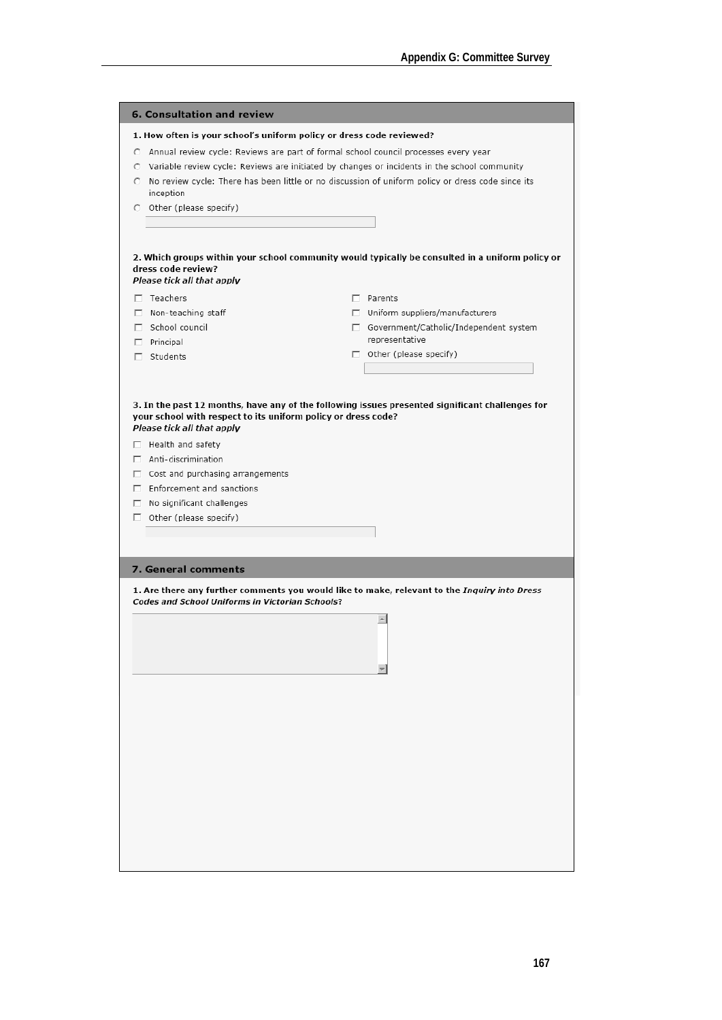| 1. How often is your school's uniform policy or dress code reviewed?<br>C Annual review cycle: Reviews are part of formal school council processes every year<br>$\circ$ Variable review cycle: Reviews are initiated by changes or incidents in the school community<br>O No review cycle: There has been little or no discussion of uniform policy or dress code since its<br>inception<br>2. Which groups within your school community would typically be consulted in a uniform policy or<br>Please tick all that apply<br>$\Box$ Teachers<br>$\Box$ Parents<br>$\Box$ Non-teaching staff<br>$\Box$ Uniform suppliers/manufacturers<br>School council<br>□ Government/Catholic/Independent system<br>representative<br>$\Box$ Principal<br>$\Box$ Other (please specify)<br>$\Box$ Students<br>3. In the past 12 months, have any of the following issues presented significant challenges for<br>your school with respect to its uniform policy or dress code?<br>Please tick all that apply<br>$\Box$ Health and safety<br>$\Box$ Anti-discrimination<br>$\Box$ Cost and purchasing arrangements<br>$\Box$ Enforcement and sanctions<br>$\Box$ No significant challenges<br>$\Box$ Other (please specify)<br>7. General comments<br>1. Are there any further comments you would like to make, relevant to the <i>Inquiry into Dress</i><br><b>Codes and School Uniforms in Victorian Schools?</b><br>A |                            |  |
|--------------------------------------------------------------------------------------------------------------------------------------------------------------------------------------------------------------------------------------------------------------------------------------------------------------------------------------------------------------------------------------------------------------------------------------------------------------------------------------------------------------------------------------------------------------------------------------------------------------------------------------------------------------------------------------------------------------------------------------------------------------------------------------------------------------------------------------------------------------------------------------------------------------------------------------------------------------------------------------------------------------------------------------------------------------------------------------------------------------------------------------------------------------------------------------------------------------------------------------------------------------------------------------------------------------------------------------------------------------------------------------------------------------|----------------------------|--|
|                                                                                                                                                                                                                                                                                                                                                                                                                                                                                                                                                                                                                                                                                                                                                                                                                                                                                                                                                                                                                                                                                                                                                                                                                                                                                                                                                                                                              | 6. Consultation and review |  |
|                                                                                                                                                                                                                                                                                                                                                                                                                                                                                                                                                                                                                                                                                                                                                                                                                                                                                                                                                                                                                                                                                                                                                                                                                                                                                                                                                                                                              |                            |  |
|                                                                                                                                                                                                                                                                                                                                                                                                                                                                                                                                                                                                                                                                                                                                                                                                                                                                                                                                                                                                                                                                                                                                                                                                                                                                                                                                                                                                              |                            |  |
|                                                                                                                                                                                                                                                                                                                                                                                                                                                                                                                                                                                                                                                                                                                                                                                                                                                                                                                                                                                                                                                                                                                                                                                                                                                                                                                                                                                                              |                            |  |
|                                                                                                                                                                                                                                                                                                                                                                                                                                                                                                                                                                                                                                                                                                                                                                                                                                                                                                                                                                                                                                                                                                                                                                                                                                                                                                                                                                                                              |                            |  |
|                                                                                                                                                                                                                                                                                                                                                                                                                                                                                                                                                                                                                                                                                                                                                                                                                                                                                                                                                                                                                                                                                                                                                                                                                                                                                                                                                                                                              |                            |  |
|                                                                                                                                                                                                                                                                                                                                                                                                                                                                                                                                                                                                                                                                                                                                                                                                                                                                                                                                                                                                                                                                                                                                                                                                                                                                                                                                                                                                              | C Other (please specify)   |  |
|                                                                                                                                                                                                                                                                                                                                                                                                                                                                                                                                                                                                                                                                                                                                                                                                                                                                                                                                                                                                                                                                                                                                                                                                                                                                                                                                                                                                              |                            |  |
|                                                                                                                                                                                                                                                                                                                                                                                                                                                                                                                                                                                                                                                                                                                                                                                                                                                                                                                                                                                                                                                                                                                                                                                                                                                                                                                                                                                                              | dress code review?         |  |
|                                                                                                                                                                                                                                                                                                                                                                                                                                                                                                                                                                                                                                                                                                                                                                                                                                                                                                                                                                                                                                                                                                                                                                                                                                                                                                                                                                                                              |                            |  |
|                                                                                                                                                                                                                                                                                                                                                                                                                                                                                                                                                                                                                                                                                                                                                                                                                                                                                                                                                                                                                                                                                                                                                                                                                                                                                                                                                                                                              |                            |  |
|                                                                                                                                                                                                                                                                                                                                                                                                                                                                                                                                                                                                                                                                                                                                                                                                                                                                                                                                                                                                                                                                                                                                                                                                                                                                                                                                                                                                              |                            |  |
|                                                                                                                                                                                                                                                                                                                                                                                                                                                                                                                                                                                                                                                                                                                                                                                                                                                                                                                                                                                                                                                                                                                                                                                                                                                                                                                                                                                                              |                            |  |
|                                                                                                                                                                                                                                                                                                                                                                                                                                                                                                                                                                                                                                                                                                                                                                                                                                                                                                                                                                                                                                                                                                                                                                                                                                                                                                                                                                                                              |                            |  |
|                                                                                                                                                                                                                                                                                                                                                                                                                                                                                                                                                                                                                                                                                                                                                                                                                                                                                                                                                                                                                                                                                                                                                                                                                                                                                                                                                                                                              |                            |  |
|                                                                                                                                                                                                                                                                                                                                                                                                                                                                                                                                                                                                                                                                                                                                                                                                                                                                                                                                                                                                                                                                                                                                                                                                                                                                                                                                                                                                              |                            |  |
|                                                                                                                                                                                                                                                                                                                                                                                                                                                                                                                                                                                                                                                                                                                                                                                                                                                                                                                                                                                                                                                                                                                                                                                                                                                                                                                                                                                                              |                            |  |
|                                                                                                                                                                                                                                                                                                                                                                                                                                                                                                                                                                                                                                                                                                                                                                                                                                                                                                                                                                                                                                                                                                                                                                                                                                                                                                                                                                                                              |                            |  |
|                                                                                                                                                                                                                                                                                                                                                                                                                                                                                                                                                                                                                                                                                                                                                                                                                                                                                                                                                                                                                                                                                                                                                                                                                                                                                                                                                                                                              |                            |  |
|                                                                                                                                                                                                                                                                                                                                                                                                                                                                                                                                                                                                                                                                                                                                                                                                                                                                                                                                                                                                                                                                                                                                                                                                                                                                                                                                                                                                              |                            |  |
|                                                                                                                                                                                                                                                                                                                                                                                                                                                                                                                                                                                                                                                                                                                                                                                                                                                                                                                                                                                                                                                                                                                                                                                                                                                                                                                                                                                                              |                            |  |
|                                                                                                                                                                                                                                                                                                                                                                                                                                                                                                                                                                                                                                                                                                                                                                                                                                                                                                                                                                                                                                                                                                                                                                                                                                                                                                                                                                                                              |                            |  |
|                                                                                                                                                                                                                                                                                                                                                                                                                                                                                                                                                                                                                                                                                                                                                                                                                                                                                                                                                                                                                                                                                                                                                                                                                                                                                                                                                                                                              |                            |  |
|                                                                                                                                                                                                                                                                                                                                                                                                                                                                                                                                                                                                                                                                                                                                                                                                                                                                                                                                                                                                                                                                                                                                                                                                                                                                                                                                                                                                              |                            |  |
|                                                                                                                                                                                                                                                                                                                                                                                                                                                                                                                                                                                                                                                                                                                                                                                                                                                                                                                                                                                                                                                                                                                                                                                                                                                                                                                                                                                                              |                            |  |
|                                                                                                                                                                                                                                                                                                                                                                                                                                                                                                                                                                                                                                                                                                                                                                                                                                                                                                                                                                                                                                                                                                                                                                                                                                                                                                                                                                                                              |                            |  |
|                                                                                                                                                                                                                                                                                                                                                                                                                                                                                                                                                                                                                                                                                                                                                                                                                                                                                                                                                                                                                                                                                                                                                                                                                                                                                                                                                                                                              |                            |  |
|                                                                                                                                                                                                                                                                                                                                                                                                                                                                                                                                                                                                                                                                                                                                                                                                                                                                                                                                                                                                                                                                                                                                                                                                                                                                                                                                                                                                              |                            |  |
|                                                                                                                                                                                                                                                                                                                                                                                                                                                                                                                                                                                                                                                                                                                                                                                                                                                                                                                                                                                                                                                                                                                                                                                                                                                                                                                                                                                                              |                            |  |
|                                                                                                                                                                                                                                                                                                                                                                                                                                                                                                                                                                                                                                                                                                                                                                                                                                                                                                                                                                                                                                                                                                                                                                                                                                                                                                                                                                                                              |                            |  |
|                                                                                                                                                                                                                                                                                                                                                                                                                                                                                                                                                                                                                                                                                                                                                                                                                                                                                                                                                                                                                                                                                                                                                                                                                                                                                                                                                                                                              |                            |  |
|                                                                                                                                                                                                                                                                                                                                                                                                                                                                                                                                                                                                                                                                                                                                                                                                                                                                                                                                                                                                                                                                                                                                                                                                                                                                                                                                                                                                              |                            |  |
|                                                                                                                                                                                                                                                                                                                                                                                                                                                                                                                                                                                                                                                                                                                                                                                                                                                                                                                                                                                                                                                                                                                                                                                                                                                                                                                                                                                                              |                            |  |
|                                                                                                                                                                                                                                                                                                                                                                                                                                                                                                                                                                                                                                                                                                                                                                                                                                                                                                                                                                                                                                                                                                                                                                                                                                                                                                                                                                                                              |                            |  |
|                                                                                                                                                                                                                                                                                                                                                                                                                                                                                                                                                                                                                                                                                                                                                                                                                                                                                                                                                                                                                                                                                                                                                                                                                                                                                                                                                                                                              |                            |  |
|                                                                                                                                                                                                                                                                                                                                                                                                                                                                                                                                                                                                                                                                                                                                                                                                                                                                                                                                                                                                                                                                                                                                                                                                                                                                                                                                                                                                              |                            |  |
|                                                                                                                                                                                                                                                                                                                                                                                                                                                                                                                                                                                                                                                                                                                                                                                                                                                                                                                                                                                                                                                                                                                                                                                                                                                                                                                                                                                                              |                            |  |
|                                                                                                                                                                                                                                                                                                                                                                                                                                                                                                                                                                                                                                                                                                                                                                                                                                                                                                                                                                                                                                                                                                                                                                                                                                                                                                                                                                                                              |                            |  |
|                                                                                                                                                                                                                                                                                                                                                                                                                                                                                                                                                                                                                                                                                                                                                                                                                                                                                                                                                                                                                                                                                                                                                                                                                                                                                                                                                                                                              |                            |  |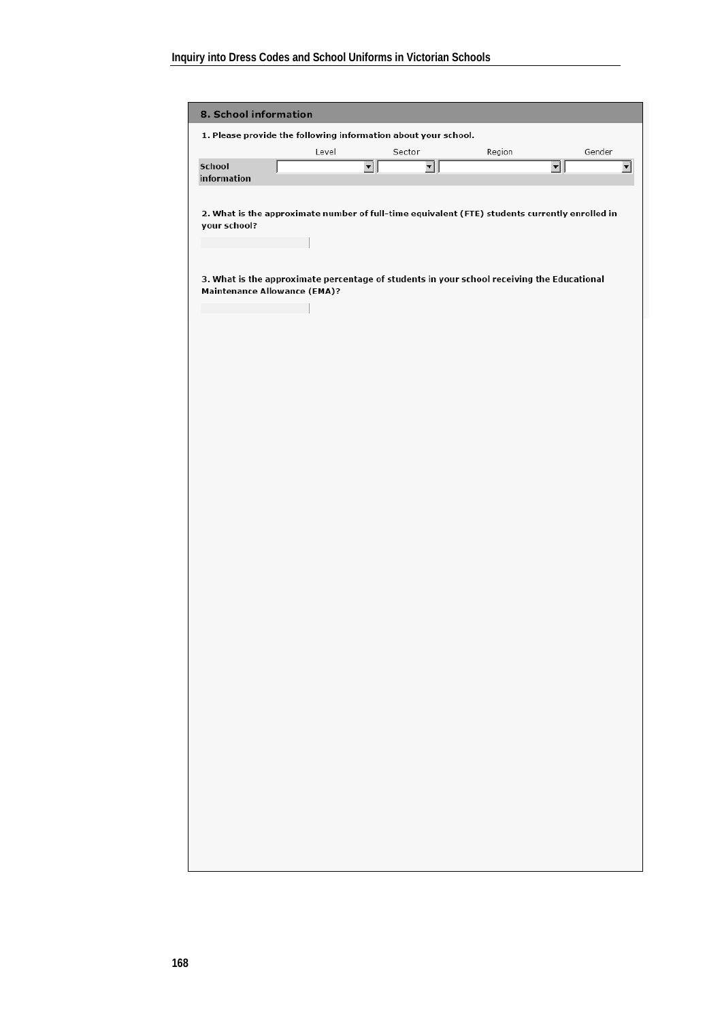| 1. Please provide the following information about your school.<br>School<br>information<br>your school?<br>3. What is the approximate percentage of students in your school receiving the Educational<br><b>Maintenance Allowance (EMA)?</b> | Level | 킈 | Sector<br>괴 | Region<br>2. What is the approximate number of full-time equivalent (FTE) students currently enrolled in | Gender<br>킈 | $\overline{\mathbf{r}}$ |
|----------------------------------------------------------------------------------------------------------------------------------------------------------------------------------------------------------------------------------------------|-------|---|-------------|----------------------------------------------------------------------------------------------------------|-------------|-------------------------|
|                                                                                                                                                                                                                                              |       |   |             |                                                                                                          |             |                         |
|                                                                                                                                                                                                                                              |       |   |             |                                                                                                          |             |                         |
|                                                                                                                                                                                                                                              |       |   |             |                                                                                                          |             |                         |
|                                                                                                                                                                                                                                              |       |   |             |                                                                                                          |             |                         |
|                                                                                                                                                                                                                                              |       |   |             |                                                                                                          |             |                         |
|                                                                                                                                                                                                                                              |       |   |             |                                                                                                          |             |                         |
|                                                                                                                                                                                                                                              |       |   |             |                                                                                                          |             |                         |
|                                                                                                                                                                                                                                              |       |   |             |                                                                                                          |             |                         |
|                                                                                                                                                                                                                                              |       |   |             |                                                                                                          |             |                         |
|                                                                                                                                                                                                                                              |       |   |             |                                                                                                          |             |                         |
|                                                                                                                                                                                                                                              |       |   |             |                                                                                                          |             |                         |
|                                                                                                                                                                                                                                              |       |   |             |                                                                                                          |             |                         |
|                                                                                                                                                                                                                                              |       |   |             |                                                                                                          |             |                         |
|                                                                                                                                                                                                                                              |       |   |             |                                                                                                          |             |                         |
|                                                                                                                                                                                                                                              |       |   |             |                                                                                                          |             |                         |
|                                                                                                                                                                                                                                              |       |   |             |                                                                                                          |             |                         |
|                                                                                                                                                                                                                                              |       |   |             |                                                                                                          |             |                         |
|                                                                                                                                                                                                                                              |       |   |             |                                                                                                          |             |                         |
|                                                                                                                                                                                                                                              |       |   |             |                                                                                                          |             |                         |
|                                                                                                                                                                                                                                              |       |   |             |                                                                                                          |             |                         |
|                                                                                                                                                                                                                                              |       |   |             |                                                                                                          |             |                         |
|                                                                                                                                                                                                                                              |       |   |             |                                                                                                          |             |                         |
|                                                                                                                                                                                                                                              |       |   |             |                                                                                                          |             |                         |
|                                                                                                                                                                                                                                              |       |   |             |                                                                                                          |             |                         |
|                                                                                                                                                                                                                                              |       |   |             |                                                                                                          |             |                         |
|                                                                                                                                                                                                                                              |       |   |             |                                                                                                          |             |                         |
|                                                                                                                                                                                                                                              |       |   |             |                                                                                                          |             |                         |
|                                                                                                                                                                                                                                              |       |   |             |                                                                                                          |             |                         |
|                                                                                                                                                                                                                                              |       |   |             |                                                                                                          |             |                         |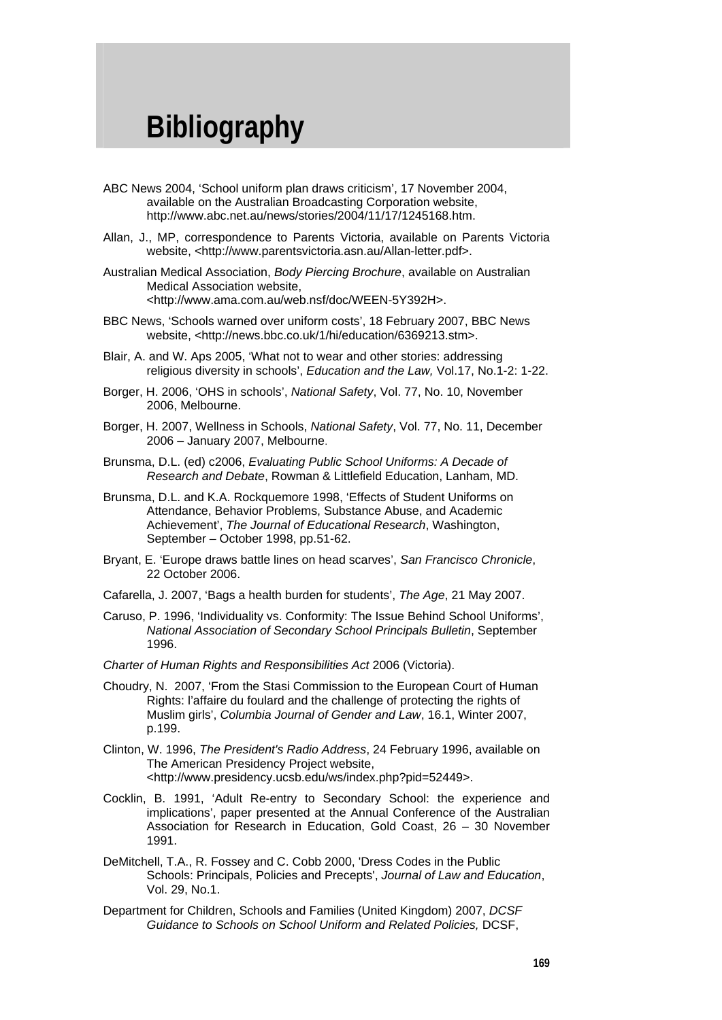### **Bibliography**

- ABC News 2004, 'School uniform plan draws criticism', 17 November 2004, available on the Australian Broadcasting Corporation website, http://www.abc.net.au/news/stories/2004/11/17/1245168.htm.
- Allan, J., MP, correspondence to Parents Victoria, available on Parents Victoria website, <http://www.parentsvictoria.asn.au/Allan-letter.pdf>.
- Australian Medical Association, *Body Piercing Brochure*, available on Australian Medical Association website, <http://www.ama.com.au/web.nsf/doc/WEEN-5Y392H>.
- BBC News, 'Schools warned over uniform costs', 18 February 2007, BBC News website, <http://news.bbc.co.uk/1/hi/education/6369213.stm>.
- Blair, A. and W. Aps 2005, 'What not to wear and other stories: addressing religious diversity in schools', *Education and the Law,* Vol.17, No.1-2: 1-22.
- Borger, H. 2006, 'OHS in schools', *National Safety*, Vol. 77, No. 10, November 2006, Melbourne.
- Borger, H. 2007, Wellness in Schools, *National Safety*, Vol. 77, No. 11, December 2006 – January 2007, Melbourne.
- Brunsma, D.L. (ed) c2006, *Evaluating Public School Uniforms: A Decade of Research and Debate*, Rowman & Littlefield Education, Lanham, MD.
- Brunsma, D.L. and K.A. Rockquemore 1998, 'Effects of Student Uniforms on Attendance, Behavior Problems, Substance Abuse, and Academic Achievement', *The Journal of Educational Research*, Washington, September – October 1998, pp.51-62.
- Bryant, E. 'Europe draws battle lines on head scarves', *San Francisco Chronicle*, 22 October 2006.
- Cafarella, J. 2007, 'Bags a health burden for students', *The Age*, 21 May 2007.
- Caruso, P. 1996, 'Individuality vs. Conformity: The Issue Behind School Uniforms', *National Association of Secondary School Principals Bulletin*, September 1996.
- *Charter of Human Rights and Responsibilities Act* 2006 (Victoria).
- Choudry, N. 2007, 'From the Stasi Commission to the European Court of Human Rights: l'affaire du foulard and the challenge of protecting the rights of Muslim girls', *Columbia Journal of Gender and Law*, 16.1, Winter 2007, p.199.
- Clinton, W. 1996, *The President's Radio Address*, 24 February 1996, available on The American Presidency Project website, <http://www.presidency.ucsb.edu/ws/index.php?pid=52449>.
- Cocklin, B. 1991, 'Adult Re-entry to Secondary School: the experience and implications', paper presented at the Annual Conference of the Australian Association for Research in Education, Gold Coast, 26 – 30 November 1991.
- DeMitchell, T.A., R. Fossey and C. Cobb 2000, 'Dress Codes in the Public Schools: Principals, Policies and Precepts', *Journal of Law and Education*, Vol. 29, No.1.
- Department for Children, Schools and Families (United Kingdom) 2007, *DCSF Guidance to Schools on School Uniform and Related Policies,* DCSF,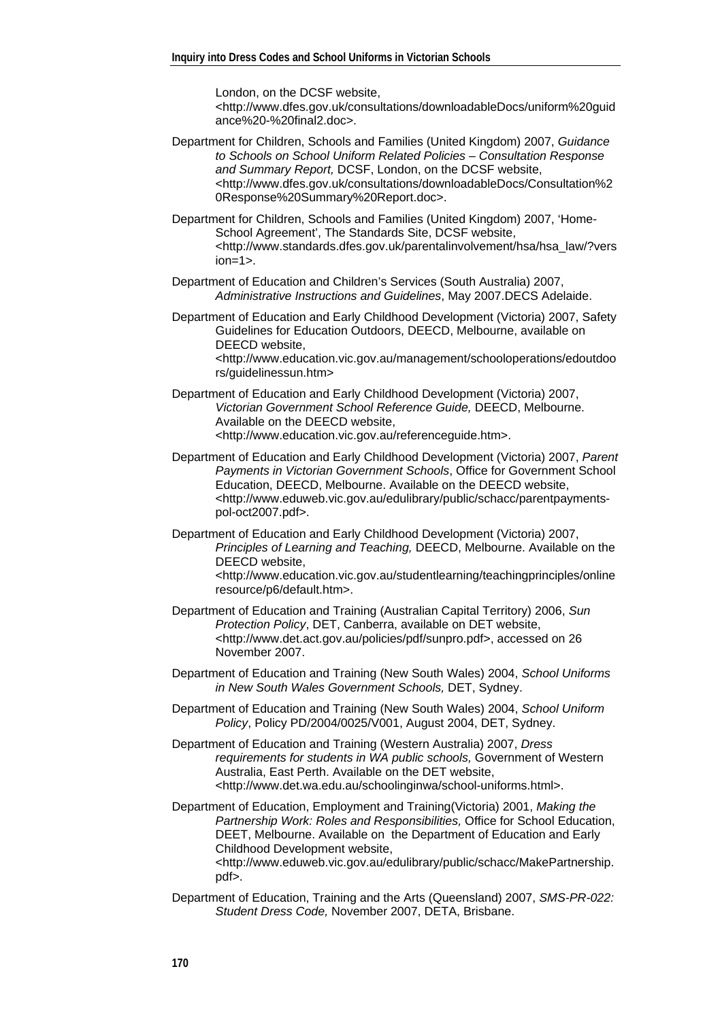London, on the DCSF website, <http://www.dfes.gov.uk/consultations/downloadableDocs/uniform%20guid ance%20-%20final2.doc>.

- Department for Children, Schools and Families (United Kingdom) 2007, *Guidance to Schools on School Uniform Related Policies – Consultation Response and Summary Report,* DCSF, London, on the DCSF website, <http://www.dfes.gov.uk/consultations/downloadableDocs/Consultation%2 0Response%20Summary%20Report.doc>.
- Department for Children, Schools and Families (United Kingdom) 2007, 'Home-School Agreement', The Standards Site, DCSF website, <http://www.standards.dfes.gov.uk/parentalinvolvement/hsa/hsa\_law/?vers  $ion = 1$
- Department of Education and Children's Services (South Australia) 2007, *Administrative Instructions and Guidelines*, May 2007.DECS Adelaide.
- Department of Education and Early Childhood Development (Victoria) 2007, Safety Guidelines for Education Outdoors, DEECD, Melbourne, available on DEECD website,

<http://www.education.vic.gov.au/management/schooloperations/edoutdoo rs/guidelinessun.htm>

- Department of Education and Early Childhood Development (Victoria) 2007, *Victorian Government School Reference Guide,* DEECD, Melbourne. Available on the DEECD website, <http://www.education.vic.gov.au/referenceguide.htm>.
- Department of Education and Early Childhood Development (Victoria) 2007, *Parent Payments in Victorian Government Schools*, Office for Government School Education, DEECD, Melbourne. Available on the DEECD website, <http://www.eduweb.vic.gov.au/edulibrary/public/schacc/parentpaymentspol-oct2007.pdf>.
- Department of Education and Early Childhood Development (Victoria) 2007, *Principles of Learning and Teaching,* DEECD, Melbourne. Available on the DEECD website, <http://www.education.vic.gov.au/studentlearning/teachingprinciples/online

resource/p6/default.htm>.

- Department of Education and Training (Australian Capital Territory) 2006, *Sun Protection Policy*, DET, Canberra, available on DET website, <http://www.det.act.gov.au/policies/pdf/sunpro.pdf>, accessed on 26 November 2007.
- Department of Education and Training (New South Wales) 2004, *School Uniforms in New South Wales Government Schools,* DET, Sydney.
- Department of Education and Training (New South Wales) 2004, *School Uniform Policy*, Policy PD/2004/0025/V001, August 2004, DET, Sydney.
- Department of Education and Training (Western Australia) 2007, *Dress requirements for students in WA public schools,* Government of Western Australia, East Perth. Available on the DET website, <http://www.det.wa.edu.au/schoolinginwa/school-uniforms.html>.
- Department of Education, Employment and Training(Victoria) 2001, *Making the Partnership Work: Roles and Responsibilities,* Office for School Education, DEET, Melbourne. Available on the Department of Education and Early Childhood Development website, <http://www.eduweb.vic.gov.au/edulibrary/public/schacc/MakePartnership. pdf>.
- Department of Education, Training and the Arts (Queensland) 2007, *SMS-PR-022: Student Dress Code,* November 2007, DETA, Brisbane.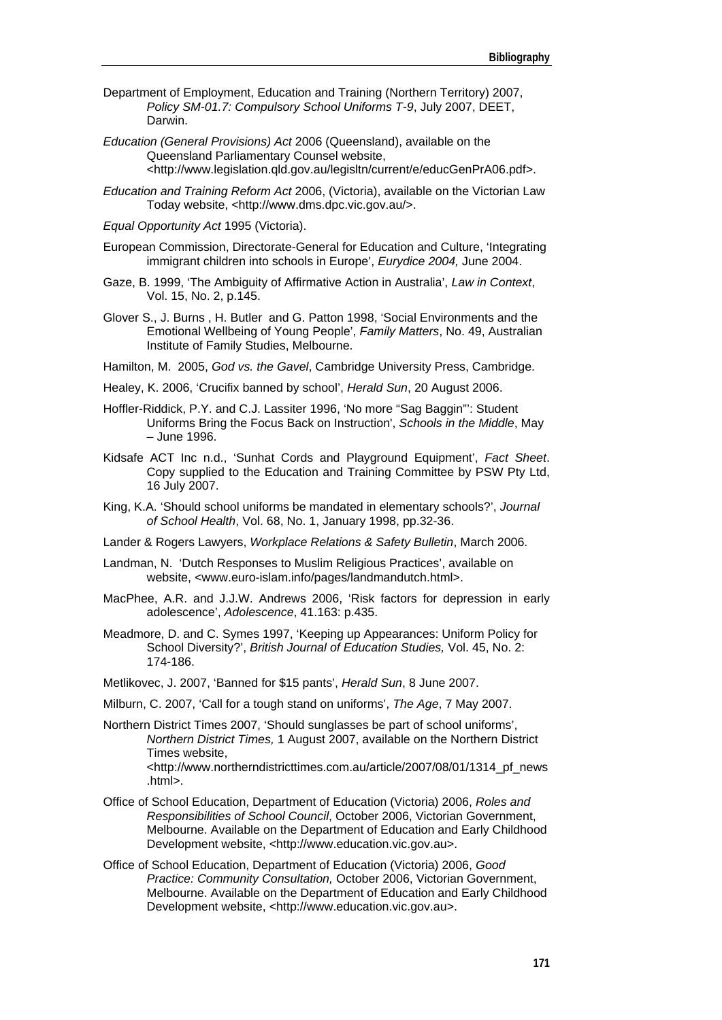- Department of Employment, Education and Training (Northern Territory) 2007, *Policy SM-01.7: Compulsory School Uniforms T-9*, July 2007, DEET, Darwin.
- *Education (General Provisions) Act* 2006 (Queensland), available on the Queensland Parliamentary Counsel website, <http://www.legislation.qld.gov.au/legisltn/current/e/educGenPrA06.pdf>.
- *Education and Training Reform Act* 2006, (Victoria), available on the Victorian Law Today website, <http://www.dms.dpc.vic.gov.au/>.
- *Equal Opportunity Act* 1995 (Victoria).
- European Commission, Directorate-General for Education and Culture, 'Integrating immigrant children into schools in Europe', *Eurydice 2004,* June 2004.
- Gaze, B. 1999, 'The Ambiguity of Affirmative Action in Australia', *Law in Context*, Vol. 15, No. 2, p.145.
- Glover S., J. Burns , H. Butler and G. Patton 1998, 'Social Environments and the Emotional Wellbeing of Young People', *Family Matters*, No. 49, Australian Institute of Family Studies, Melbourne.
- Hamilton, M. 2005, *God vs. the Gavel*, Cambridge University Press, Cambridge.
- Healey, K. 2006, 'Crucifix banned by school', *Herald Sun*, 20 August 2006.
- Hoffler-Riddick, P.Y. and C.J. Lassiter 1996, 'No more "Sag Baggin"': Student Uniforms Bring the Focus Back on Instruction', *Schools in the Middle*, May – June 1996.
- Kidsafe ACT Inc n.d., 'Sunhat Cords and Playground Equipment', *Fact Sheet*. Copy supplied to the Education and Training Committee by PSW Pty Ltd, 16 July 2007.
- King, K.A. 'Should school uniforms be mandated in elementary schools?', *Journal of School Health*, Vol. 68, No. 1, January 1998, pp.32-36.
- Lander & Rogers Lawyers, *Workplace Relations & Safety Bulletin*, March 2006.
- Landman, N. 'Dutch Responses to Muslim Religious Practices', available on website, <www.euro-islam.info/pages/landmandutch.html>.
- MacPhee, A.R. and J.J.W. Andrews 2006, 'Risk factors for depression in early adolescence', *Adolescence*, 41.163: p.435.
- Meadmore, D. and C. Symes 1997, 'Keeping up Appearances: Uniform Policy for School Diversity?', *British Journal of Education Studies,* Vol. 45, No. 2: 174-186.
- Metlikovec, J. 2007, 'Banned for \$15 pants', *Herald Sun*, 8 June 2007.
- Milburn, C. 2007, 'Call for a tough stand on uniforms', *The Age*, 7 May 2007.
- Northern District Times 2007, 'Should sunglasses be part of school uniforms', *Northern District Times,* 1 August 2007, available on the Northern District Times website, <http://www.northerndistricttimes.com.au/article/2007/08/01/1314\_pf\_news .html>.
- Office of School Education, Department of Education (Victoria) 2006, *Roles and Responsibilities of School Council*, October 2006, Victorian Government, Melbourne. Available on the Department of Education and Early Childhood Development website, <http://www.education.vic.gov.au>.
- Office of School Education, Department of Education (Victoria) 2006, *Good Practice: Community Consultation,* October 2006, Victorian Government, Melbourne. Available on the Department of Education and Early Childhood Development website, <http://www.education.vic.gov.au>.